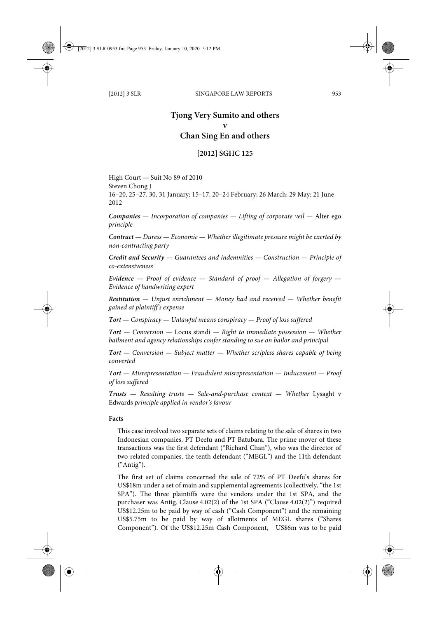# **Tjong Very Sumito and others v Chan Sing En and others**

### **[2012] SGHC 125**

High Court — Suit No 89 of 2010 Steven Chong J 16–20, 25–27, 30, 31 January; 15–17, 20–24 February; 26 March; 29 May; 21 June 2012

*Companies — Incorporation of companies — Lifting of corporate veil —* Alter ego *principle*

*Contract — Duress — Economic — Whether illegitimate pressure might be exerted by non-contracting party*

*Credit and Security — Guarantees and indemnities — Construction — Principle of co-extensiveness*

*Evidence — Proof of evidence — Standard of proof — Allegation of forgery — Evidence of handwriting expert*

*Restitution — Unjust enrichment — Money had and received — Whether benefit gained at plaintiff's expense*

*Tort — Conspiracy — Unlawful means conspiracy — Proof of loss suffered*

*Tort — Conversion —* Locus standi *— Right to immediate possession — Whether bailment and agency relationships confer standing to sue on bailor and principal*

*Tort — Conversion — Subject matter — Whether scripless shares capable of being converted*

*Tort — Misrepresentation — Fraudulent misrepresentation — Inducement — Proof of loss suffered*

*Trusts* — Resulting trusts — Sale-and-purchase context — Whether Lysaght v Edwards *principle applied in vendor's favour*

#### **Facts**

This case involved two separate sets of claims relating to the sale of shares in two Indonesian companies, PT Deefu and PT Batubara. The prime mover of these transactions was the first defendant ("Richard Chan"), who was the director of two related companies, the tenth defendant ("MEGL") and the 11th defendant ("Antig").

The first set of claims concerned the sale of 72% of PT Deefu's shares for US\$18m under a set of main and supplemental agreements (collectively, "the 1st SPA"). The three plaintiffs were the vendors under the 1st SPA, and the purchaser was Antig. Clause 4.02(2) of the 1st SPA ("Clause 4.02(2)") required US\$12.25m to be paid by way of cash ("Cash Component") and the remaining US\$5.75m to be paid by way of allotments of MEGL shares ("Shares Component"). Of the US\$12.25m Cash Component, US\$6m was to be paid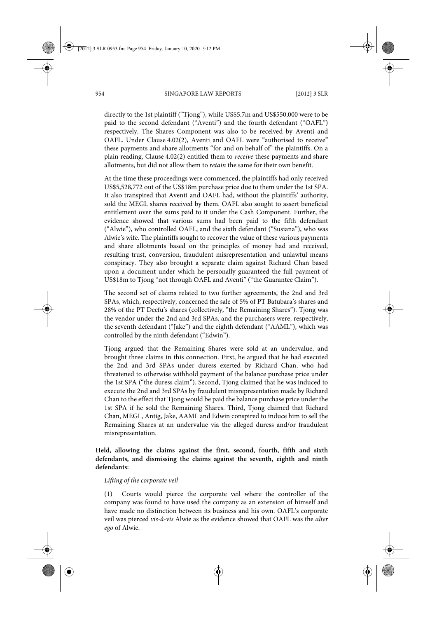directly to the 1st plaintiff ("Tjong"), while US\$5.7m and US\$550,000 were to be paid to the second defendant ("Aventi") and the fourth defendant ("OAFL") respectively. The Shares Component was also to be received by Aventi and OAFL. Under Clause 4.02(2), Aventi and OAFL were "authorised to receive" these payments and share allotments "for and on behalf of" the plaintiffs. On a plain reading, Clause 4.02(2) entitled them to *receive* these payments and share allotments, but did not allow them to *retain* the same for their own benefit.

At the time these proceedings were commenced, the plaintiffs had only received US\$5,528,772 out of the US\$18m purchase price due to them under the 1st SPA. It also transpired that Aventi and OAFL had, without the plaintiffs' authority, sold the MEGL shares received by them. OAFL also sought to assert beneficial entitlement over the sums paid to it under the Cash Component. Further, the evidence showed that various sums had been paid to the fifth defendant ("Alwie"), who controlled OAFL, and the sixth defendant ("Susiana"), who was Alwie's wife. The plaintiffs sought to recover the value of these various payments and share allotments based on the principles of money had and received, resulting trust, conversion, fraudulent misrepresentation and unlawful means conspiracy. They also brought a separate claim against Richard Chan based upon a document under which he personally guaranteed the full payment of US\$18m to Tjong "not through OAFL and Aventi" ("the Guarantee Claim").

The second set of claims related to two further agreements, the 2nd and 3rd SPAs, which, respectively, concerned the sale of 5% of PT Batubara's shares and 28% of the PT Deefu's shares (collectively, "the Remaining Shares"). Tjong was the vendor under the 2nd and 3rd SPAs, and the purchasers were, respectively, the seventh defendant ("Jake") and the eighth defendant ("AAML"), which was controlled by the ninth defendant ("Edwin").

Tjong argued that the Remaining Shares were sold at an undervalue, and brought three claims in this connection. First, he argued that he had executed the 2nd and 3rd SPAs under duress exerted by Richard Chan, who had threatened to otherwise withhold payment of the balance purchase price under the 1st SPA ("the duress claim"). Second, Tjong claimed that he was induced to execute the 2nd and 3rd SPAs by fraudulent misrepresentation made by Richard Chan to the effect that Tjong would be paid the balance purchase price under the 1st SPA if he sold the Remaining Shares. Third, Tjong claimed that Richard Chan, MEGL, Antig, Jake, AAML and Edwin conspired to induce him to sell the Remaining Shares at an undervalue via the alleged duress and/or fraudulent misrepresentation.

**Held, allowing the claims against the first, second, fourth, fifth and sixth defendants, and dismissing the claims against the seventh, eighth and ninth defendants:** 

#### *Lifting of the corporate veil*

(1) Courts would pierce the corporate veil where the controller of the company was found to have used the company as an extension of himself and have made no distinction between its business and his own. OAFL's corporate veil was pierced *vis-à-vis* Alwie as the evidence showed that OAFL was the *alter ego* of Alwie.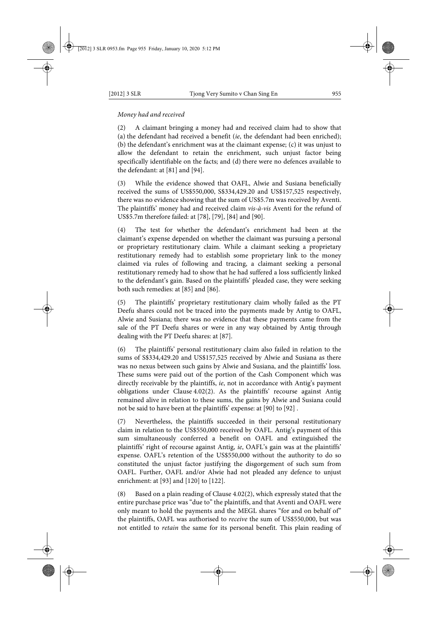### *Money had and received*

(2) A claimant bringing a money had and received claim had to show that (a) the defendant had received a benefit (*ie*, the defendant had been enriched); (b) the defendant's enrichment was at the claimant expense; (c) it was unjust to allow the defendant to retain the enrichment, such unjust factor being specifically identifiable on the facts; and (d) there were no defences available to the defendant: at [81] and [94].

(3) While the evidence showed that OAFL, Alwie and Susiana beneficially received the sums of US\$550,000, S\$334,429.20 and US\$157,525 respectively, there was no evidence showing that the sum of US\$5.7m was received by Aventi. The plaintiffs' money had and received claim *vis-à-vis* Aventi for the refund of US\$5.7m therefore failed: at [78], [79], [84] and [90].

The test for whether the defendant's enrichment had been at the claimant's expense depended on whether the claimant was pursuing a personal or proprietary restitutionary claim. While a claimant seeking a proprietary restitutionary remedy had to establish some proprietary link to the money claimed via rules of following and tracing, a claimant seeking a personal restitutionary remedy had to show that he had suffered a loss sufficiently linked to the defendant's gain. Based on the plaintiffs' pleaded case, they were seeking both such remedies: at [85] and [86].

(5) The plaintiffs' proprietary restitutionary claim wholly failed as the PT Deefu shares could not be traced into the payments made by Antig to OAFL, Alwie and Susiana; there was no evidence that these payments came from the sale of the PT Deefu shares or were in any way obtained by Antig through dealing with the PT Deefu shares: at [87].

(6) The plaintiffs' personal restitutionary claim also failed in relation to the sums of S\$334,429.20 and US\$157,525 received by Alwie and Susiana as there was no nexus between such gains by Alwie and Susiana, and the plaintiffs' loss. These sums were paid out of the portion of the Cash Component which was directly receivable by the plaintiffs, *ie*, not in accordance with Antig's payment obligations under Clause 4.02(2). As the plaintiffs' recourse against Antig remained alive in relation to these sums, the gains by Alwie and Susiana could not be said to have been at the plaintiffs' expense: at [90] to [92] .

(7) Nevertheless, the plaintiffs succeeded in their personal restitutionary claim in relation to the US\$550,000 received by OAFL. Antig's payment of this sum simultaneously conferred a benefit on OAFL and extinguished the plaintiffs' right of recourse against Antig, *ie*, OAFL's gain was at the plaintiffs' expense. OAFL's retention of the US\$550,000 without the authority to do so constituted the unjust factor justifying the disgorgement of such sum from OAFL. Further, OAFL and/or Alwie had not pleaded any defence to unjust enrichment: at [93] and [120] to [122].

(8) Based on a plain reading of Clause 4.02(2), which expressly stated that the entire purchase price was "due to" the plaintiffs, and that Aventi and OAFL were only meant to hold the payments and the MEGL shares "for and on behalf of" the plaintiffs, OAFL was authorised to *receive* the sum of US\$550,000, but was not entitled to *retain* the same for its personal benefit. This plain reading of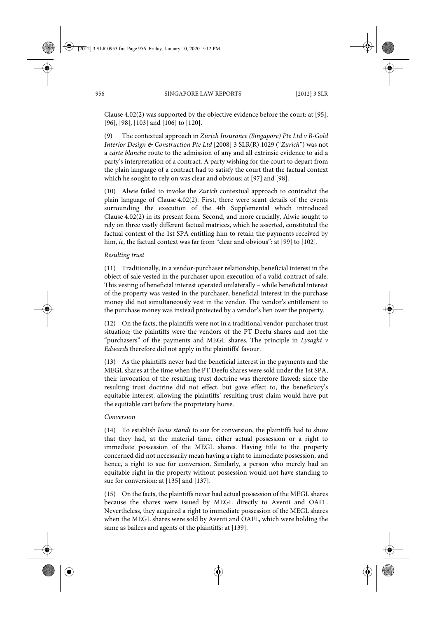Clause 4.02(2) was supported by the objective evidence before the court: at [95], [96], [98], [103] and [106] to [120].

(9) The contextual approach in *Zurich Insurance (Singapore) Pte Ltd v B-Gold Interior Design & Construction Pte Ltd* [2008] 3 SLR(R) 1029 ("*Zurich*") was not a *carte blanche* route to the admission of any and all extrinsic evidence to aid a party's interpretation of a contract. A party wishing for the court to depart from the plain language of a contract had to satisfy the court that the factual context which he sought to rely on was clear and obvious: at [97] and [98].

(10) Alwie failed to invoke the *Zurich* contextual approach to contradict the plain language of Clause 4.02(2). First, there were scant details of the events surrounding the execution of the 4th Supplemental which introduced Clause 4.02(2) in its present form. Second, and more crucially, Alwie sought to rely on three vastly different factual matrices, which he asserted, constituted the factual context of the 1st SPA entitling him to retain the payments received by him, *ie*, the factual context was far from "clear and obvious": at [99] to [102].

#### *Resulting trust*

(11) Traditionally, in a vendor-purchaser relationship, beneficial interest in the object of sale vested in the purchaser upon execution of a valid contract of sale. This vesting of beneficial interest operated unilaterally – while beneficial interest of the property was vested in the purchaser, beneficial interest in the purchase money did not simultaneously vest in the vendor. The vendor's entitlement to the purchase money was instead protected by a vendor's lien over the property.

(12) On the facts, the plaintiffs were not in a traditional vendor-purchaser trust situation; the plaintiffs were the vendors of the PT Deefu shares and not the "purchasers" of the payments and MEGL shares. The principle in *Lysaght v Edwards* therefore did not apply in the plaintiffs' favour.

(13) As the plaintiffs never had the beneficial interest in the payments and the MEGL shares at the time when the PT Deefu shares were sold under the 1st SPA, their invocation of the resulting trust doctrine was therefore flawed; since the resulting trust doctrine did not effect, but gave effect to, the beneficiary's equitable interest, allowing the plaintiffs' resulting trust claim would have put the equitable cart before the proprietary horse.

#### *Conversion*

(14) To establish *locus standi* to sue for conversion, the plaintiffs had to show that they had, at the material time, either actual possession or a right to immediate possession of the MEGL shares. Having title to the property concerned did not necessarily mean having a right to immediate possession, and hence, a right to sue for conversion. Similarly, a person who merely had an equitable right in the property without possession would not have standing to sue for conversion: at [135] and [137].

(15) On the facts, the plaintiffs never had actual possession of the MEGL shares because the shares were issued by MEGL directly to Aventi and OAFL. Nevertheless, they acquired a right to immediate possession of the MEGL shares when the MEGL shares were sold by Aventi and OAFL, which were holding the same as bailees and agents of the plaintiffs: at [139].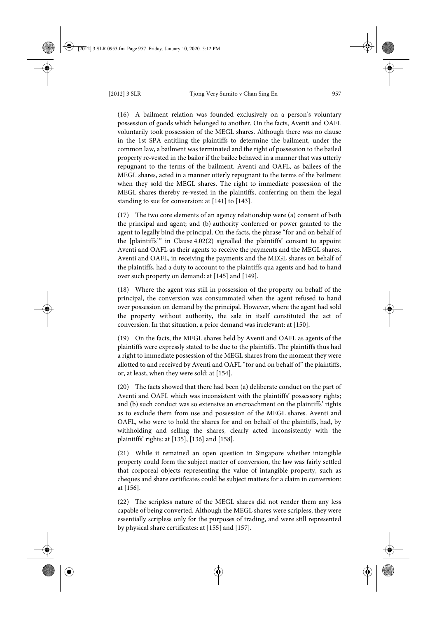(16) A bailment relation was founded exclusively on a person's voluntary possession of goods which belonged to another. On the facts, Aventi and OAFL voluntarily took possession of the MEGL shares. Although there was no clause in the 1st SPA entitling the plaintiffs to determine the bailment, under the common law, a bailment was terminated and the right of possession to the bailed property re-vested in the bailor if the bailee behaved in a manner that was utterly repugnant to the terms of the bailment. Aventi and OAFL, as bailees of the MEGL shares, acted in a manner utterly repugnant to the terms of the bailment when they sold the MEGL shares. The right to immediate possession of the MEGL shares thereby re-vested in the plaintiffs, conferring on them the legal standing to sue for conversion: at [141] to [143].

(17) The two core elements of an agency relationship were (a) consent of both the principal and agent; and (b) authority conferred or power granted to the agent to legally bind the principal. On the facts, the phrase "for and on behalf of the [plaintiffs]" in Clause 4.02(2) signalled the plaintiffs' consent to appoint Aventi and OAFL as their agents to receive the payments and the MEGL shares. Aventi and OAFL, in receiving the payments and the MEGL shares on behalf of the plaintiffs, had a duty to account to the plaintiffs qua agents and had to hand over such property on demand: at [145] and [149].

(18) Where the agent was still in possession of the property on behalf of the principal, the conversion was consummated when the agent refused to hand over possession on demand by the principal. However, where the agent had sold the property without authority, the sale in itself constituted the act of conversion. In that situation, a prior demand was irrelevant: at [150].

(19) On the facts, the MEGL shares held by Aventi and OAFL as agents of the plaintiffs were expressly stated to be due to the plaintiffs. The plaintiffs thus had a right to immediate possession of the MEGL shares from the moment they were allotted to and received by Aventi and OAFL "for and on behalf of" the plaintiffs, or, at least, when they were sold: at [154].

(20) The facts showed that there had been (a) deliberate conduct on the part of Aventi and OAFL which was inconsistent with the plaintiffs' possessory rights; and (b) such conduct was so extensive an encroachment on the plaintiffs' rights as to exclude them from use and possession of the MEGL shares. Aventi and OAFL, who were to hold the shares for and on behalf of the plaintiffs, had, by withholding and selling the shares, clearly acted inconsistently with the plaintiffs' rights: at [135], [136] and [158].

(21) While it remained an open question in Singapore whether intangible property could form the subject matter of conversion, the law was fairly settled that corporeal objects representing the value of intangible property, such as cheques and share certificates could be subject matters for a claim in conversion: at [156].

(22) The scripless nature of the MEGL shares did not render them any less capable of being converted. Although the MEGL shares were scripless, they were essentially scripless only for the purposes of trading, and were still represented by physical share certificates: at [155] and [157].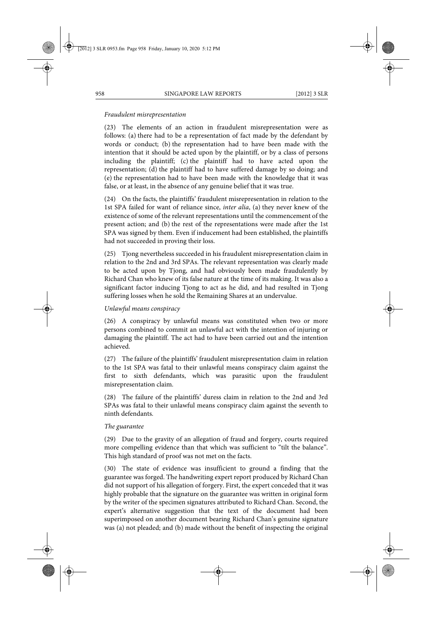#### *Fraudulent misrepresentation*

(23) The elements of an action in fraudulent misrepresentation were as follows: (a) there had to be a representation of fact made by the defendant by words or conduct; (b) the representation had to have been made with the intention that it should be acted upon by the plaintiff, or by a class of persons including the plaintiff; (c) the plaintiff had to have acted upon the representation; (d) the plaintiff had to have suffered damage by so doing; and (e) the representation had to have been made with the knowledge that it was false, or at least, in the absence of any genuine belief that it was true.

(24) On the facts, the plaintiffs' fraudulent misrepresentation in relation to the 1st SPA failed for want of reliance since, *inter alia*, (a) they never knew of the existence of some of the relevant representations until the commencement of the present action; and (b) the rest of the representations were made after the 1st SPA was signed by them. Even if inducement had been established, the plaintiffs had not succeeded in proving their loss.

(25) Tjong nevertheless succeeded in his fraudulent misrepresentation claim in relation to the 2nd and 3rd SPAs. The relevant representation was clearly made to be acted upon by Tjong, and had obviously been made fraudulently by Richard Chan who knew of its false nature at the time of its making. It was also a significant factor inducing Tjong to act as he did, and had resulted in Tjong suffering losses when he sold the Remaining Shares at an undervalue.

## *Unlawful means conspiracy*

(26) A conspiracy by unlawful means was constituted when two or more persons combined to commit an unlawful act with the intention of injuring or damaging the plaintiff. The act had to have been carried out and the intention achieved.

(27) The failure of the plaintiffs' fraudulent misrepresentation claim in relation to the 1st SPA was fatal to their unlawful means conspiracy claim against the first to sixth defendants, which was parasitic upon the fraudulent misrepresentation claim.

(28) The failure of the plaintiffs' duress claim in relation to the 2nd and 3rd SPAs was fatal to their unlawful means conspiracy claim against the seventh to ninth defendants.

#### *The guarantee*

(29) Due to the gravity of an allegation of fraud and forgery, courts required more compelling evidence than that which was sufficient to "tilt the balance". This high standard of proof was not met on the facts.

(30) The state of evidence was insufficient to ground a finding that the guarantee was forged. The handwriting expert report produced by Richard Chan did not support of his allegation of forgery. First, the expert conceded that it was highly probable that the signature on the guarantee was written in original form by the writer of the specimen signatures attributed to Richard Chan. Second, the expert's alternative suggestion that the text of the document had been superimposed on another document bearing Richard Chan's genuine signature was (a) not pleaded; and (b) made without the benefit of inspecting the original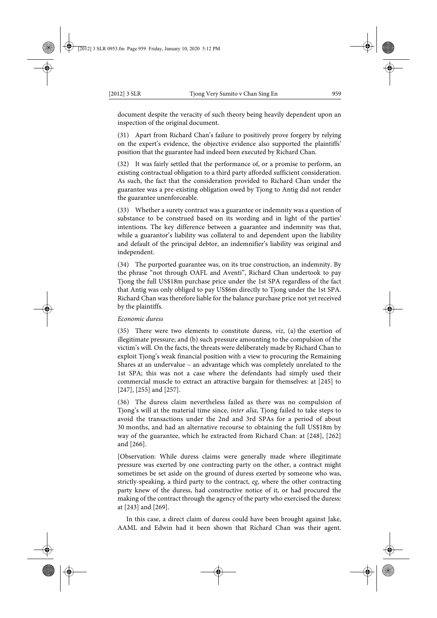document despite the veracity of such theory being heavily dependent upon an inspection of the original document.

(31) Apart from Richard Chan's failure to positively prove forgery by relying on the expert's evidence, the objective evidence also supported the plaintiffs' position that the guarantee had indeed been executed by Richard Chan.

(32) It was fairly settled that the performance of, or a promise to perform, an existing contractual obligation to a third party afforded sufficient consideration. As such, the fact that the consideration provided to Richard Chan under the guarantee was a pre-existing obligation owed by Tjong to Antig did not render the guarantee unenforceable.

(33) Whether a surety contract was a guarantee or indemnity was a question of substance to be construed based on its wording and in light of the parties' intentions. The key difference between a guarantee and indemnity was that, while a guarantor's liability was collateral to and dependent upon the liability and default of the principal debtor, an indemnifier's liability was original and independent.

(34) The purported guarantee was, on its true construction, an indemnity. By the phrase "not through OAFL and Aventi", Richard Chan undertook to pay Tjong the full US\$18m purchase price under the 1st SPA regardless of the fact that Antig was only obliged to pay US\$6m directly to Tjong under the 1st SPA. Richard Chan was therefore liable for the balance purchase price not yet received by the plaintiffs.

#### *Economic duress*

(35) There were two elements to constitute duress, *viz*, (a) the exertion of illegitimate pressure; and (b) such pressure amounting to the compulsion of the victim's will. On the facts, the threats were deliberately made by Richard Chan to exploit Tjong's weak financial position with a view to procuring the Remaining Shares at an undervalue – an advantage which was completely unrelated to the 1st SPA; this was not a case where the defendants had simply used their commercial muscle to extract an attractive bargain for themselves: at [245] to [247], [255] and [257].

(36) The duress claim nevertheless failed as there was no compulsion of Tjong's will at the material time since, *inter alia*, Tjong failed to take steps to avoid the transactions under the 2nd and 3rd SPAs for a period of about 30 months, and had an alternative recourse to obtaining the full US\$18m by way of the guarantee, which he extracted from Richard Chan: at [248], [262] and [266].

[Observation: While duress claims were generally made where illegitimate pressure was exerted by one contracting party on the other, a contract might sometimes be set aside on the ground of duress exerted by someone who was, strictly-speaking, a third party to the contract, *eg*, where the other contracting party knew of the duress, had constructive notice of it, or had procured the making of the contract through the agency of the party who exercised the duress: at [243] and [269].

In this case, a direct claim of duress could have been brought against Jake, AAML and Edwin had it been shown that Richard Chan was their agent.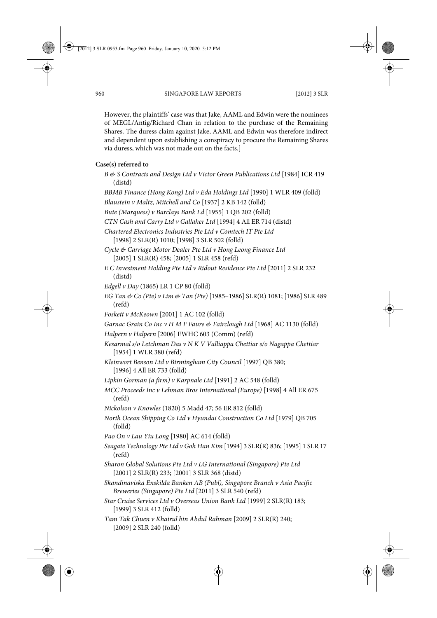However, the plaintiffs' case was that Jake, AAML and Edwin were the nominees of MEGL/Antig/Richard Chan in relation to the purchase of the Remaining Shares. The duress claim against Jake, AAML and Edwin was therefore indirect and dependent upon establishing a conspiracy to procure the Remaining Shares via duress, which was not made out on the facts.]

#### **Case(s) referred to**

- *B & S Contracts and Design Ltd v Victor Green Publications Ltd* [1984] ICR 419 (distd)
- *BBMB Finance (Hong Kong) Ltd v Eda Holdings Ltd* [1990] 1 WLR 409 (folld)

*Blaustein v Maltz, Mitchell and Co* [1937] 2 KB 142 (folld)

*Bute (Marquess) v Barclays Bank Ld* [1955] 1 QB 202 (folld)

*CTN Cash and Carry Ltd v Gallaher Ltd* [1994] 4 All ER 714 (distd)

- *Chartered Electronics Industries Pte Ltd v Comtech IT Pte Ltd*
	- [1998] 2 SLR(R) 1010; [1998] 3 SLR 502 (folld)
- *Cycle & Carriage Motor Dealer Pte Ltd v Hong Leong Finance Ltd* [2005] 1 SLR(R) 458; [2005] 1 SLR 458 (refd)
- *E C Investment Holding Pte Ltd v Ridout Residence Pte Ltd* [2011] 2 SLR 232 (distd)
- *Edgell v Day* (1865) LR 1 CP 80 (folld)
- *EG Tan & Co (Pte) v Lim & Tan (Pte)* [1985–1986] SLR(R) 1081; [1986] SLR 489 (refd)
- *Foskett v McKeown* [2001] 1 AC 102 (folld)

*Garnac Grain Co Inc v H M F Faure & Fairclough Ltd* [1968] AC 1130 (folld)

- *Halpern v Halpern* [2006] EWHC 603 (Comm) (refd)
- *Kesarmal s/o Letchman Das v N K V Valliappa Chettiar s/o Nagappa Chettiar* [1954] 1 WLR 380 (refd)
- *Kleinwort Benson Ltd v Birmingham City Council* [1997] QB 380; [1996] 4 All ER 733 (folld)
- *Lipkin Gorman (a firm) v Karpnale Ltd* [1991] 2 AC 548 (folld)
- *MCC Proceeds Inc v Lehman Bros International (Europe)* [1998] 4 All ER 675 (refd)
- *Nickolson v Knowles* (1820) 5 Madd 47; 56 ER 812 (folld)
- *North Ocean Shipping Co Ltd v Hyundai Construction Co Ltd* [1979] QB 705 (folld)
- *Pao On v Lau Yiu Long* [1980] AC 614 (folld)
- *Seagate Technology Pte Ltd v Goh Han Kim* [1994] 3 SLR(R) 836; [1995] 1 SLR 17 (refd)
- *Sharon Global Solutions Pte Ltd v LG International (Singapore) Pte Ltd* [2001] 2 SLR(R) 233; [2001] 3 SLR 368 (distd)
- *Skandinaviska Enskilda Banken AB (Publ), Singapore Branch v Asia Pacific Breweries (Singapore) Pte Ltd* [2011] 3 SLR 540 (refd)
- *Star Cruise Services Ltd v Overseas Union Bank Ltd* [1999] 2 SLR(R) 183; [1999] 3 SLR 412 (folld)
- *Tam Tak Chuen v Khairul bin Abdul Rahman* [2009] 2 SLR(R) 240; [2009] 2 SLR 240 (folld)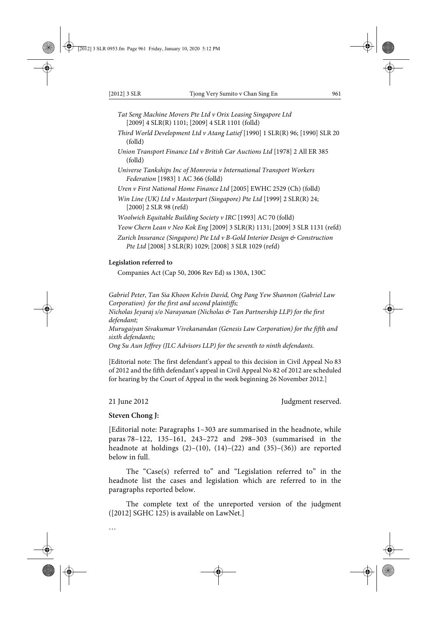- *Tat Seng Machine Movers Pte Ltd v Orix Leasing Singapore Ltd* [2009] 4 SLR(R) 1101; [2009] 4 SLR 1101 (folld)
- *Third World Development Ltd v Atang Latief* [1990] 1 SLR(R) 96; [1990] SLR 20 (folld)
- *Union Transport Finance Ltd v British Car Auctions Ltd* [1978] 2 All ER 385 (folld)
- *Universe Tankships Inc of Monrovia v International Transport Workers Federation* [1983] 1 AC 366 (folld)
- *Uren v First National Home Finance Ltd* [2005] EWHC 2529 (Ch) (folld)
- *Win Line (UK) Ltd v Masterpart (Singapore) Pte Ltd* [1999] 2 SLR(R) 24; [2000] 2 SLR 98 (refd)
- *Woolwich Equitable Building Society v IRC* [1993] AC 70 (folld)
- *Yeow Chern Lean v Neo Kok Eng* [2009] 3 SLR(R) 1131; [2009] 3 SLR 1131 (refd)
- *Zurich Insurance (Singapore) Pte Ltd v B-Gold Interior Design & Construction Pte Ltd* [2008] 3 SLR(R) 1029; [2008] 3 SLR 1029 (refd)

## **Legislation referred to**

Companies Act (Cap 50, 2006 Rev Ed) ss 130A, 130C

*Gabriel Peter, Tan Sia Khoon Kelvin David, Ong Pang Yew Shannon (Gabriel Law Corporation) for the first and second plaintiffs; Nicholas Jeyaraj s/o Narayanan (Nicholas & Tan Partnership LLP) for the first defendant; Murugaiyan Sivakumar Vivekanandan (Genesis Law Corporation) for the fifth and sixth defendants; Ong Su Aun Jeffrey (JLC Advisors LLP) for the seventh to ninth defendants.*

[Editorial note: The first defendant's appeal to this decision in Civil Appeal No 83 of 2012 and the fifth defendant's appeal in Civil Appeal No 82 of 2012 are scheduled for hearing by the Court of Appeal in the week beginning 26 November 2012.]

…

21 June 2012 **Judgment reserved.** 

#### **Steven Chong J:**

[Editorial note: Paragraphs 1–303 are summarised in the headnote, while paras 78–122, 135–161, 243–272 and 298–303 (summarised in the headnote at holdings  $(2)$ – $(10)$ ,  $(14)$ – $(22)$  and  $(35)$ – $(36)$ ) are reported below in full.

The "Case(s) referred to" and "Legislation referred to" in the headnote list the cases and legislation which are referred to in the paragraphs reported below.

The complete text of the unreported version of the judgment ([2012] SGHC 125) is available on LawNet.]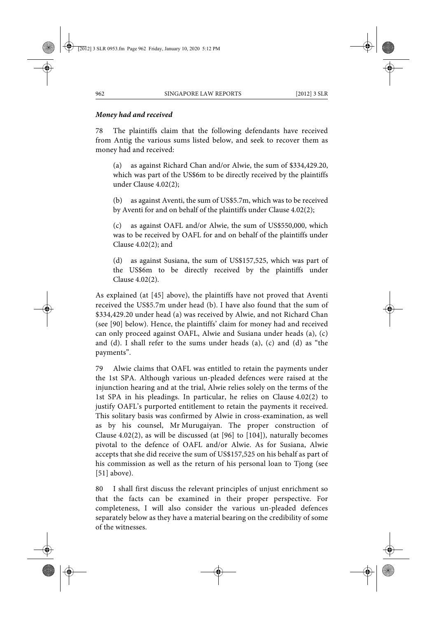## *Money had and received*

78 The plaintiffs claim that the following defendants have received from Antig the various sums listed below, and seek to recover them as money had and received:

(a) as against Richard Chan and/or Alwie, the sum of \$334,429.20, which was part of the US\$6m to be directly received by the plaintiffs under Clause 4.02(2);

(b) as against Aventi, the sum of US\$5.7m, which was to be received by Aventi for and on behalf of the plaintiffs under Clause 4.02(2);

(c) as against OAFL and/or Alwie, the sum of US\$550,000, which was to be received by OAFL for and on behalf of the plaintiffs under Clause 4.02(2); and

(d) as against Susiana, the sum of US\$157,525, which was part of the US\$6m to be directly received by the plaintiffs under Clause 4.02(2).

As explained (at [45] above), the plaintiffs have not proved that Aventi received the US\$5.7m under head (b). I have also found that the sum of \$334,429.20 under head (a) was received by Alwie, and not Richard Chan (see [90] below). Hence, the plaintiffs' claim for money had and received can only proceed against OAFL, Alwie and Susiana under heads (a), (c) and (d). I shall refer to the sums under heads (a), (c) and (d) as "the payments".

79 Alwie claims that OAFL was entitled to retain the payments under the 1st SPA. Although various un-pleaded defences were raised at the injunction hearing and at the trial, Alwie relies solely on the terms of the 1st SPA in his pleadings. In particular, he relies on Clause 4.02(2) to justify OAFL's purported entitlement to retain the payments it received. This solitary basis was confirmed by Alwie in cross-examination, as well as by his counsel, Mr Murugaiyan. The proper construction of Clause 4.02(2), as will be discussed (at [96] to [104]), naturally becomes pivotal to the defence of OAFL and/or Alwie. As for Susiana, Alwie accepts that she did receive the sum of US\$157,525 on his behalf as part of his commission as well as the return of his personal loan to Tjong (see [51] above).

80 I shall first discuss the relevant principles of unjust enrichment so that the facts can be examined in their proper perspective. For completeness, I will also consider the various un-pleaded defences separately below as they have a material bearing on the credibility of some of the witnesses.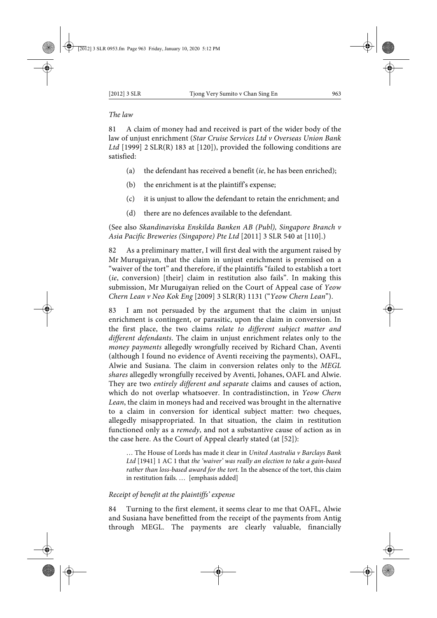## *The law*

81 A claim of money had and received is part of the wider body of the law of unjust enrichment (*Star Cruise Services Ltd v Overseas Union Bank* Ltd<sup>[1999]</sup> 2 SLR(R) 183 at [120]), provided the following conditions are satisfied:

- (a) the defendant has received a benefit (*ie*, he has been enriched);
- (b) the enrichment is at the plaintiff's expense;
- (c) it is unjust to allow the defendant to retain the enrichment; and
- (d) there are no defences available to the defendant.

(See also *Skandinaviska Enskilda Banken AB (Publ), Singapore Branch v Asia Pacific Breweries (Singapore) Pte Ltd* [2011] 3 SLR 540 at [110].)

82 As a preliminary matter, I will first deal with the argument raised by Mr Murugaiyan, that the claim in unjust enrichment is premised on a "waiver of the tort" and therefore, if the plaintiffs "failed to establish a tort (*ie*, conversion) [their] claim in restitution also fails". In making this submission, Mr Murugaiyan relied on the Court of Appeal case of *Yeow Chern Lean v Neo Kok Eng* [2009] 3 SLR(R) 1131 ("*Yeow Chern Lean*").

83 I am not persuaded by the argument that the claim in unjust enrichment is contingent, or parasitic, upon the claim in conversion. In the first place, the two claims *relate to different subject matter and different defendants*. The claim in unjust enrichment relates only to the *money payments* allegedly wrongfully received by Richard Chan, Aventi (although I found no evidence of Aventi receiving the payments), OAFL, Alwie and Susiana. The claim in conversion relates only to the *MEGL shares* allegedly wrongfully received by Aventi, Johanes, OAFL and Alwie. They are two *entirely different and separate* claims and causes of action, which do not overlap whatsoever. In contradistinction, in *Yeow Chern Lean*, the claim in moneys had and received was brought in the alternative to a claim in conversion for identical subject matter: two cheques, allegedly misappropriated. In that situation, the claim in restitution functioned only as a *remedy*, and not a substantive cause of action as in the case here. As the Court of Appeal clearly stated (at [52]):

… The House of Lords has made it clear in *United Australia v Barclays Bank Ltd* [1941] 1 AC 1 that *the 'waiver' was really an election to take a gain-based rather than loss-based award for the tort.* In the absence of the tort, this claim in restitution fails. … [emphasis added]

## *Receipt of benefit at the plaintiffs' expense*

84 Turning to the first element, it seems clear to me that OAFL, Alwie and Susiana have benefitted from the receipt of the payments from Antig through MEGL. The payments are clearly valuable, financially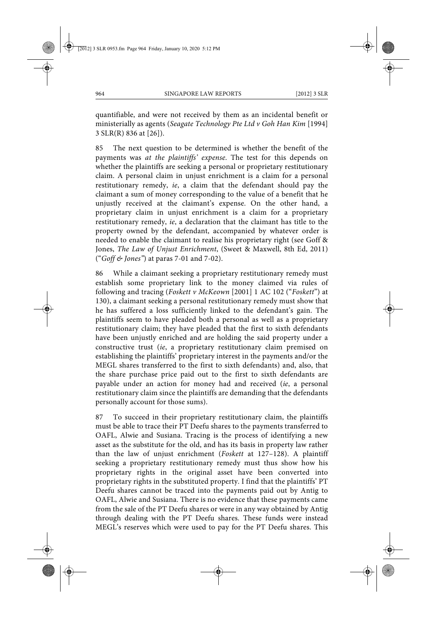quantifiable, and were not received by them as an incidental benefit or ministerially as agents (*Seagate Technology Pte Ltd v Goh Han Kim* [1994] 3 SLR(R) 836 at [26]).

85 The next question to be determined is whether the benefit of the payments was *at the plaintiffs' expense*. The test for this depends on whether the plaintiffs are seeking a personal or proprietary restitutionary claim. A personal claim in unjust enrichment is a claim for a personal restitutionary remedy, *ie*, a claim that the defendant should pay the claimant a sum of money corresponding to the value of a benefit that he unjustly received at the claimant's expense. On the other hand, a proprietary claim in unjust enrichment is a claim for a proprietary restitutionary remedy, *ie*, a declaration that the claimant has title to the property owned by the defendant, accompanied by whatever order is needed to enable the claimant to realise his proprietary right (see Goff & Jones, *The Law of Unjust Enrichment*, (Sweet & Maxwell, 8th Ed, 2011) ("*Goff & Jones"*) at paras 7-01 and 7-02).

86 While a claimant seeking a proprietary restitutionary remedy must establish some proprietary link to the money claimed via rules of following and tracing (*Foskett v McKeown* [2001] 1 AC 102 ("*Foskett*") at 130), a claimant seeking a personal restitutionary remedy must show that he has suffered a loss sufficiently linked to the defendant's gain. The plaintiffs seem to have pleaded both a personal as well as a proprietary restitutionary claim; they have pleaded that the first to sixth defendants have been unjustly enriched and are holding the said property under a constructive trust (*ie*, a proprietary restitutionary claim premised on establishing the plaintiffs' proprietary interest in the payments and/or the MEGL shares transferred to the first to sixth defendants) and, also, that the share purchase price paid out to the first to sixth defendants are payable under an action for money had and received (*ie*, a personal restitutionary claim since the plaintiffs are demanding that the defendants personally account for those sums).

87 To succeed in their proprietary restitutionary claim, the plaintiffs must be able to trace their PT Deefu shares to the payments transferred to OAFL, Alwie and Susiana. Tracing is the process of identifying a new asset as the substitute for the old, and has its basis in property law rather than the law of unjust enrichment (*Foskett* at 127–128). A plaintiff seeking a proprietary restitutionary remedy must thus show how his proprietary rights in the original asset have been converted into proprietary rights in the substituted property. I find that the plaintiffs' PT Deefu shares cannot be traced into the payments paid out by Antig to OAFL, Alwie and Susiana. There is no evidence that these payments came from the sale of the PT Deefu shares or were in any way obtained by Antig through dealing with the PT Deefu shares. These funds were instead MEGL's reserves which were used to pay for the PT Deefu shares. This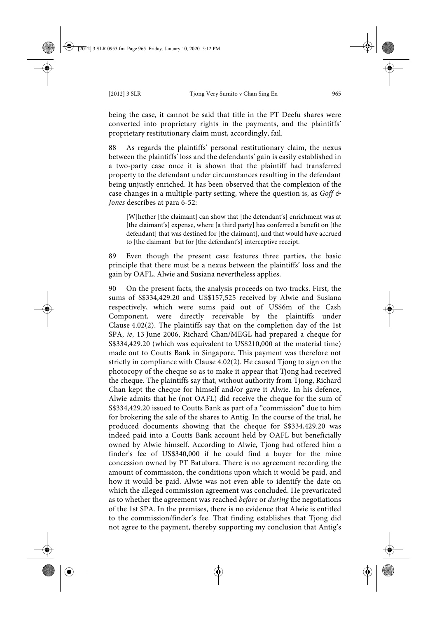being the case, it cannot be said that title in the PT Deefu shares were converted into proprietary rights in the payments, and the plaintiffs' proprietary restitutionary claim must, accordingly, fail.

As regards the plaintiffs' personal restitutionary claim, the nexus between the plaintiffs' loss and the defendants' gain is easily established in a two-party case once it is shown that the plaintiff had transferred property to the defendant under circumstances resulting in the defendant being unjustly enriched. It has been observed that the complexion of the case changes in a multiple-party setting, where the question is, as *Goff & Jones* describes at para 6-52:

[W]hether [the claimant] can show that [the defendant's] enrichment was at [the claimant's] expense, where [a third party] has conferred a benefit on [the defendant] that was destined for [the claimant], and that would have accrued to [the claimant] but for [the defendant's] interceptive receipt.

89 Even though the present case features three parties, the basic principle that there must be a nexus between the plaintiffs' loss and the gain by OAFL, Alwie and Susiana nevertheless applies.

90 On the present facts, the analysis proceeds on two tracks. First, the sums of S\$334,429.20 and US\$157,525 received by Alwie and Susiana respectively, which were sums paid out of US\$6m of the Cash Component, were directly receivable by the plaintiffs under Clause 4.02(2). The plaintiffs say that on the completion day of the 1st SPA, *ie*, 13 June 2006, Richard Chan/MEGL had prepared a cheque for S\$334,429.20 (which was equivalent to US\$210,000 at the material time) made out to Coutts Bank in Singapore. This payment was therefore not strictly in compliance with Clause 4.02(2). He caused Tjong to sign on the photocopy of the cheque so as to make it appear that Tjong had received the cheque. The plaintiffs say that, without authority from Tjong, Richard Chan kept the cheque for himself and/or gave it Alwie. In his defence, Alwie admits that he (not OAFL) did receive the cheque for the sum of S\$334,429.20 issued to Coutts Bank as part of a "commission" due to him for brokering the sale of the shares to Antig. In the course of the trial, he produced documents showing that the cheque for S\$334,429.20 was indeed paid into a Coutts Bank account held by OAFL but beneficially owned by Alwie himself. According to Alwie, Tjong had offered him a finder's fee of US\$340,000 if he could find a buyer for the mine concession owned by PT Batubara. There is no agreement recording the amount of commission, the conditions upon which it would be paid, and how it would be paid. Alwie was not even able to identify the date on which the alleged commission agreement was concluded. He prevaricated as to whether the agreement was reached *before* or *during* the negotiations of the 1st SPA. In the premises, there is no evidence that Alwie is entitled to the commission/finder's fee. That finding establishes that Tjong did not agree to the payment, thereby supporting my conclusion that Antig's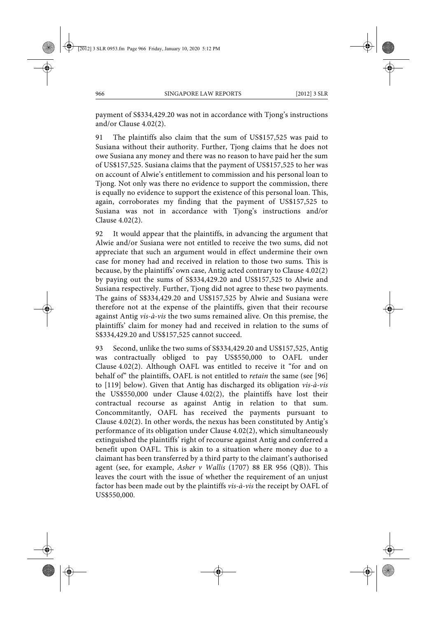payment of S\$334,429.20 was not in accordance with Tjong's instructions and/or Clause 4.02(2).

91 The plaintiffs also claim that the sum of US\$157,525 was paid to Susiana without their authority. Further, Tjong claims that he does not owe Susiana any money and there was no reason to have paid her the sum of US\$157,525. Susiana claims that the payment of US\$157,525 to her was on account of Alwie's entitlement to commission and his personal loan to Tjong. Not only was there no evidence to support the commission, there is equally no evidence to support the existence of this personal loan. This, again, corroborates my finding that the payment of US\$157,525 to Susiana was not in accordance with Tjong's instructions and/or Clause 4.02(2).

92 It would appear that the plaintiffs, in advancing the argument that Alwie and/or Susiana were not entitled to receive the two sums, did not appreciate that such an argument would in effect undermine their own case for money had and received in relation to those two sums. This is because, by the plaintiffs' own case, Antig acted contrary to Clause 4.02(2) by paying out the sums of S\$334,429.20 and US\$157,525 to Alwie and Susiana respectively. Further, Tjong did not agree to these two payments. The gains of S\$334,429.20 and US\$157,525 by Alwie and Susiana were therefore not at the expense of the plaintiffs, given that their recourse against Antig *vis-à-vis* the two sums remained alive. On this premise, the plaintiffs' claim for money had and received in relation to the sums of S\$334,429.20 and US\$157,525 cannot succeed.

93 Second, unlike the two sums of S\$334,429.20 and US\$157,525, Antig was contractually obliged to pay US\$550,000 to OAFL under Clause 4.02(2). Although OAFL was entitled to receive it "for and on behalf of" the plaintiffs, OAFL is not entitled to *retain* the same (see [96] to [119] below). Given that Antig has discharged its obligation *vis-à-vis* the US\$550,000 under Clause 4.02(2), the plaintiffs have lost their contractual recourse as against Antig in relation to that sum. Concommitantly, OAFL has received the payments pursuant to Clause 4.02(2). In other words, the nexus has been constituted by Antig's performance of its obligation under Clause 4.02(2), which simultaneously extinguished the plaintiffs' right of recourse against Antig and conferred a benefit upon OAFL. This is akin to a situation where money due to a claimant has been transferred by a third party to the claimant's authorised agent (see, for example, *Asher v Wallis* (1707) 88 ER 956 (QB)). This leaves the court with the issue of whether the requirement of an unjust factor has been made out by the plaintiffs *vis-à-vis* the receipt by OAFL of US\$550,000.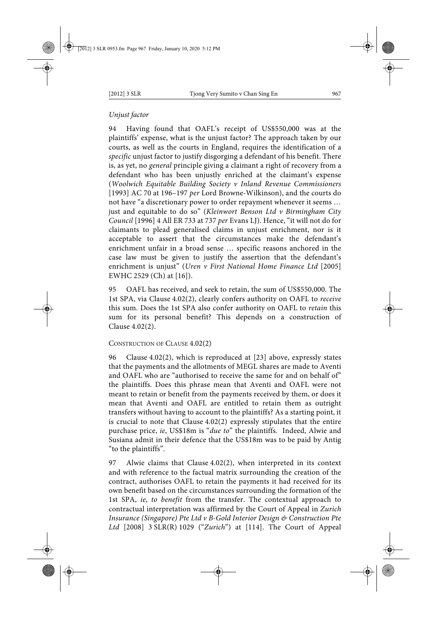## *Unjust factor*

94 Having found that OAFL's receipt of US\$550,000 was at the plaintiffs' expense, what is the unjust factor? The approach taken by our courts, as well as the courts in England, requires the identification of a *specific* unjust factor to justify disgorging a defendant of his benefit. There is, as yet, no *general* principle giving a claimant a right of recovery from a defendant who has been unjustly enriched at the claimant's expense (*Woolwich Equitable Building Society v Inland Revenue Commissioners* [1993] AC 70 at 196–197 *per* Lord Browne-Wilkinson), and the courts do not have "a discretionary power to order repayment whenever it seems … just and equitable to do so" (*Kleinwort Benson Ltd v Birmingham City Council* [1996] 4 All ER 733 at 737 *per* Evans LJ). Hence, "it will not do for claimants to plead generalised claims in unjust enrichment, nor is it acceptable to assert that the circumstances make the defendant's enrichment unfair in a broad sense … specific reasons anchored in the case law must be given to justify the assertion that the defendant's enrichment is unjust" (*Uren v First National Home Finance Ltd* [2005] EWHC 2529 (Ch) at [16]).

95 OAFL has received, and seek to retain, the sum of US\$550,000. The 1st SPA, via Clause 4.02(2), clearly confers authority on OAFL to *receive* this sum. Does the 1st SPA also confer authority on OAFL to *retain* this sum for its personal benefit? This depends on a construction of Clause 4.02(2).

### CONSTRUCTION OF CLAUSE 4.02(2)

96 Clause 4.02(2), which is reproduced at [23] above, expressly states that the payments and the allotments of MEGL shares are made to Aventi and OAFL who are "authorised to receive the same for and on behalf of" the plaintiffs. Does this phrase mean that Aventi and OAFL were not meant to retain or benefit from the payments received by them, or does it mean that Aventi and OAFL are entitled to retain them as outright transfers without having to account to the plaintiffs? As a starting point, it is crucial to note that Clause 4.02(2) expressly stipulates that the entire purchase price, *ie*, US\$18m is "*due to*" the plaintiffs. Indeed, Alwie and Susiana admit in their defence that the US\$18m was to be paid by Antig "to the plaintiffs".

97 Alwie claims that Clause 4.02(2), when interpreted in its context and with reference to the factual matrix surrounding the creation of the contract, authorises OAFL to retain the payments it had received for its own benefit based on the circumstances surrounding the formation of the 1st SPA, *ie*, *to benefit* from the transfer. The contextual approach to contractual interpretation was affirmed by the Court of Appeal in *Zurich Insurance (Singapore) Pte Ltd v B-Gold Interior Design & Construction Pte Ltd* [2008] 3 SLR(R) 1029 ("*Zurich*") at [114]. The Court of Appeal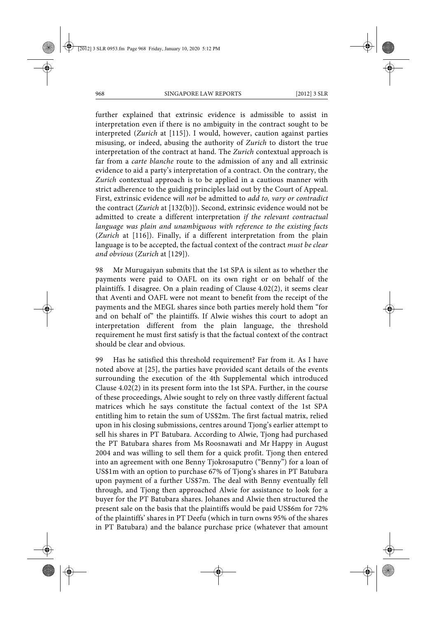further explained that extrinsic evidence is admissible to assist in interpretation even if there is no ambiguity in the contract sought to be interpreted (*Zurich* at [115]). I would, however, caution against parties misusing, or indeed, abusing the authority of *Zurich* to distort the true interpretation of the contract at hand. The *Zurich* contextual approach is far from a *carte blanche* route to the admission of any and all extrinsic evidence to aid a party's interpretation of a contract. On the contrary, the *Zurich* contextual approach is to be applied in a cautious manner with strict adherence to the guiding principles laid out by the Court of Appeal. First, extrinsic evidence will *not* be admitted to *add to, vary or contradict* the contract (*Zurich* at [132(b)]). Second, extrinsic evidence would not be admitted to create a different interpretation *if the relevant contractual language was plain and unambiguous with reference to the existing facts* (*Zurich* at [116]). Finally, if a different interpretation from the plain language is to be accepted, the factual context of the contract *must be clear and obvious* (*Zurich* at [129]).

98 Mr Murugaiyan submits that the 1st SPA is silent as to whether the payments were paid to OAFL on its own right or on behalf of the plaintiffs. I disagree. On a plain reading of Clause 4.02(2), it seems clear that Aventi and OAFL were not meant to benefit from the receipt of the payments and the MEGL shares since both parties merely hold them "for and on behalf of" the plaintiffs. If Alwie wishes this court to adopt an interpretation different from the plain language, the threshold requirement he must first satisfy is that the factual context of the contract should be clear and obvious.

99 Has he satisfied this threshold requirement? Far from it. As I have noted above at [25], the parties have provided scant details of the events surrounding the execution of the 4th Supplemental which introduced Clause 4.02(2) in its present form into the 1st SPA. Further, in the course of these proceedings, Alwie sought to rely on three vastly different factual matrices which he says constitute the factual context of the 1st SPA entitling him to retain the sum of US\$2m. The first factual matrix, relied upon in his closing submissions, centres around Tjong's earlier attempt to sell his shares in PT Batubara. According to Alwie, Tjong had purchased the PT Batubara shares from Ms Roosnawati and Mr Happy in August 2004 and was willing to sell them for a quick profit. Tjong then entered into an agreement with one Benny Tjokrosaputro ("Benny") for a loan of US\$1m with an option to purchase 67% of Tjong's shares in PT Batubara upon payment of a further US\$7m. The deal with Benny eventually fell through, and Tjong then approached Alwie for assistance to look for a buyer for the PT Batubara shares. Johanes and Alwie then structured the present sale on the basis that the plaintiffs would be paid US\$6m for 72% of the plaintiffs' shares in PT Deefu (which in turn owns 95% of the shares in PT Batubara) and the balance purchase price (whatever that amount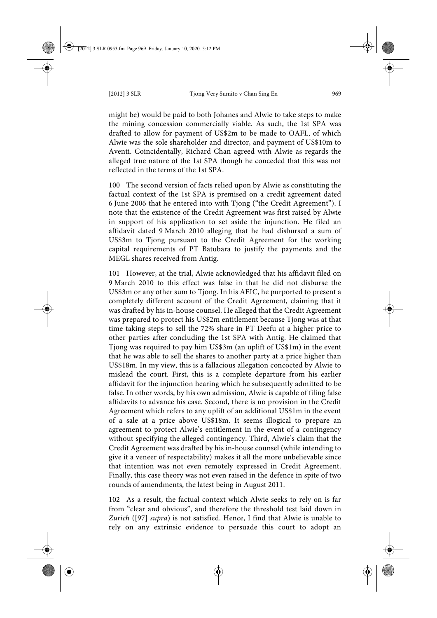might be) would be paid to both Johanes and Alwie to take steps to make the mining concession commercially viable. As such, the 1st SPA was drafted to allow for payment of US\$2m to be made to OAFL, of which Alwie was the sole shareholder and director, and payment of US\$10m to Aventi. Coincidentally, Richard Chan agreed with Alwie as regards the alleged true nature of the 1st SPA though he conceded that this was not reflected in the terms of the 1st SPA.

100 The second version of facts relied upon by Alwie as constituting the factual context of the 1st SPA is premised on a credit agreement dated 6 June 2006 that he entered into with Tjong ("the Credit Agreement"). I note that the existence of the Credit Agreement was first raised by Alwie in support of his application to set aside the injunction. He filed an affidavit dated 9 March 2010 alleging that he had disbursed a sum of US\$3m to Tjong pursuant to the Credit Agreement for the working capital requirements of PT Batubara to justify the payments and the MEGL shares received from Antig.

101 However, at the trial, Alwie acknowledged that his affidavit filed on 9 March 2010 to this effect was false in that he did not disburse the US\$3m or any other sum to Tjong. In his AEIC, he purported to present a completely different account of the Credit Agreement, claiming that it was drafted by his in-house counsel. He alleged that the Credit Agreement was prepared to protect his US\$2m entitlement because Tjong was at that time taking steps to sell the 72% share in PT Deefu at a higher price to other parties after concluding the 1st SPA with Antig. He claimed that Tjong was required to pay him US\$3m (an uplift of US\$1m) in the event that he was able to sell the shares to another party at a price higher than US\$18m. In my view, this is a fallacious allegation concocted by Alwie to mislead the court. First, this is a complete departure from his earlier affidavit for the injunction hearing which he subsequently admitted to be false. In other words, by his own admission, Alwie is capable of filing false affidavits to advance his case. Second, there is no provision in the Credit Agreement which refers to any uplift of an additional US\$1m in the event of a sale at a price above US\$18m. It seems illogical to prepare an agreement to protect Alwie's entitlement in the event of a contingency without specifying the alleged contingency. Third, Alwie's claim that the Credit Agreement was drafted by his in-house counsel (while intending to give it a veneer of respectability) makes it all the more unbelievable since that intention was not even remotely expressed in Credit Agreement. Finally, this case theory was not even raised in the defence in spite of two rounds of amendments, the latest being in August 2011.

102 As a result, the factual context which Alwie seeks to rely on is far from "clear and obvious", and therefore the threshold test laid down in *Zurich* ([97] *supra*) is not satisfied. Hence, I find that Alwie is unable to rely on any extrinsic evidence to persuade this court to adopt an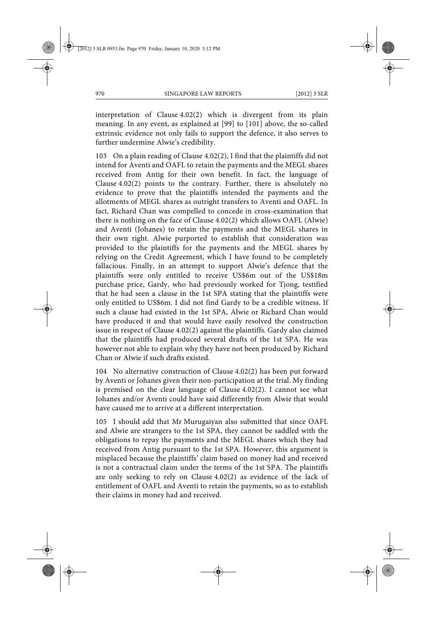interpretation of Clause 4.02(2) which is divergent from its plain meaning. In any event, as explained at [99] to [101] above, the so-called extrinsic evidence not only fails to support the defence, it also serves to further undermine Alwie's credibility.

103 On a plain reading of Clause 4.02(2), I find that the plaintiffs did not intend for Aventi and OAFL to retain the payments and the MEGL shares received from Antig for their own benefit. In fact, the language of Clause 4.02(2) points to the contrary. Further, there is absolutely no evidence to prove that the plaintiffs intended the payments and the allotments of MEGL shares as outright transfers to Aventi and OAFL. In fact, Richard Chan was compelled to concede in cross-examination that there is nothing on the face of Clause 4.02(2) which allows OAFL (Alwie) and Aventi (Johanes) to retain the payments and the MEGL shares in their own right. Alwie purported to establish that consideration was provided to the plaintiffs for the payments and the MEGL shares by relying on the Credit Agreement, which I have found to be completely fallacious. Finally, in an attempt to support Alwie's defence that the plaintiffs were only entitled to receive US\$6m out of the US\$18m purchase price, Gardy, who had previously worked for Tjong, testified that he had seen a clause in the 1st SPA stating that the plaintiffs were only entitled to US\$6m. I did not find Gardy to be a credible witness. If such a clause had existed in the 1st SPA, Alwie or Richard Chan would have produced it and that would have easily resolved the construction issue in respect of Clause 4.02(2) against the plaintiffs. Gardy also claimed that the plaintiffs had produced several drafts of the 1st SPA. He was however not able to explain why they have not been produced by Richard Chan or Alwie if such drafts existed.

104 No alternative construction of Clause 4.02(2) has been put forward by Aventi or Johanes given their non-participation at the trial. My finding is premised on the clear language of Clause 4.02(2). I cannot see what Johanes and/or Aventi could have said differently from Alwie that would have caused me to arrive at a different interpretation.

105 I should add that Mr Murugaiyan also submitted that since OAFL and Alwie are strangers to the 1st SPA, they cannot be saddled with the obligations to repay the payments and the MEGL shares which they had received from Antig pursuant to the 1st SPA. However, this argument is misplaced because the plaintiffs' claim based on money had and received is not a contractual claim under the terms of the 1st SPA. The plaintiffs are only seeking to rely on Clause 4.02(2) as evidence of the lack of entitlement of OAFL and Aventi to retain the payments, so as to establish their claims in money had and received.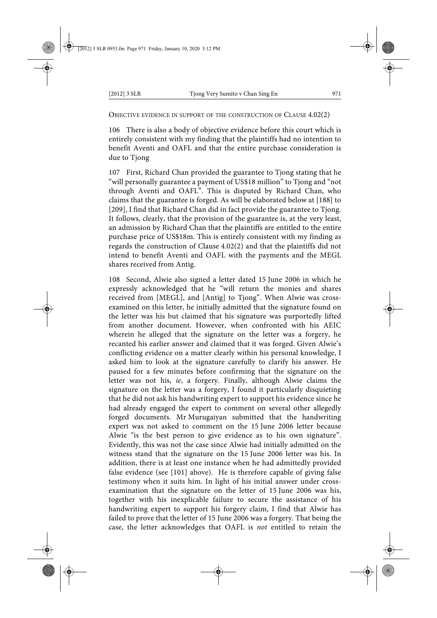OBJECTIVE EVIDENCE IN SUPPORT OF THE CONSTRUCTION OF CLAUSE 4.02(2)

106 There is also a body of objective evidence before this court which is entirely consistent with my finding that the plaintiffs had no intention to benefit Aventi and OAFL and that the entire purchase consideration is due to Tjong

107 First, Richard Chan provided the guarantee to Tjong stating that he "will personally guarantee a payment of US\$18 million" to Tjong and "not through Aventi and OAFL". This is disputed by Richard Chan, who claims that the guarantee is forged. As will be elaborated below at [188] to [209], I find that Richard Chan did in fact provide the guarantee to Tjong. It follows, clearly, that the provision of the guarantee is, at the very least, an admission by Richard Chan that the plaintiffs are entitled to the entire purchase price of US\$18m. This is entirely consistent with my finding as regards the construction of Clause 4.02(2) and that the plaintiffs did not intend to benefit Aventi and OAFL with the payments and the MEGL shares received from Antig.

108 Second, Alwie also signed a letter dated 15 June 2006 in which he expressly acknowledged that he "will return the monies and shares received from [MEGL], and [Antig] to Tjong". When Alwie was crossexamined on this letter, he initially admitted that the signature found on the letter was his but claimed that his signature was purportedly lifted from another document. However, when confronted with his AEIC wherein he alleged that the signature on the letter was a forgery, he recanted his earlier answer and claimed that it was forged. Given Alwie's conflicting evidence on a matter clearly within his personal knowledge, I asked him to look at the signature carefully to clarify his answer. He paused for a few minutes before confirming that the signature on the letter was not his, *ie*, a forgery. Finally, although Alwie claims the signature on the letter was a forgery, I found it particularly disquieting that he did not ask his handwriting expert to support his evidence since he had already engaged the expert to comment on several other allegedly forged documents. Mr Murugaiyan submitted that the handwriting expert was not asked to comment on the 15 June 2006 letter because Alwie "is the best person to give evidence as to his own signature". Evidently, this was not the case since Alwie had initially admitted on the witness stand that the signature on the 15 June 2006 letter was his. In addition, there is at least one instance when he had admittedly provided false evidence (see [101] above). He is therefore capable of giving false testimony when it suits him. In light of his initial answer under crossexamination that the signature on the letter of 15 June 2006 was his, together with his inexplicable failure to secure the assistance of his handwriting expert to support his forgery claim, I find that Alwie has failed to prove that the letter of 15 June 2006 was a forgery. That being the case, the letter acknowledges that OAFL is *not* entitled to retain the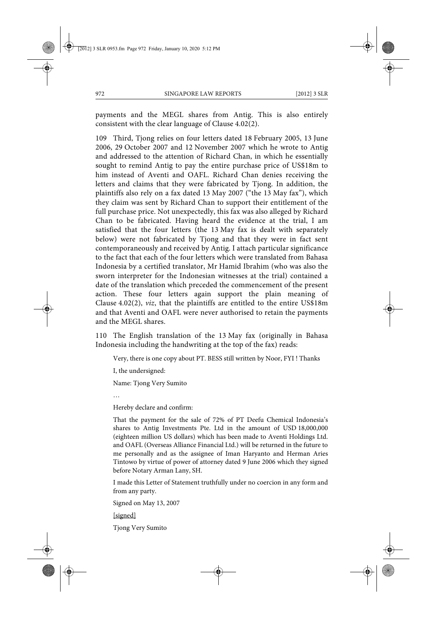payments and the MEGL shares from Antig. This is also entirely consistent with the clear language of Clause 4.02(2).

109 Third, Tjong relies on four letters dated 18 February 2005, 13 June 2006, 29 October 2007 and 12 November 2007 which he wrote to Antig and addressed to the attention of Richard Chan, in which he essentially sought to remind Antig to pay the entire purchase price of US\$18m to him instead of Aventi and OAFL. Richard Chan denies receiving the letters and claims that they were fabricated by Tjong. In addition, the plaintiffs also rely on a fax dated 13 May 2007 ("the 13 May fax"), which they claim was sent by Richard Chan to support their entitlement of the full purchase price. Not unexpectedly, this fax was also alleged by Richard Chan to be fabricated. Having heard the evidence at the trial, I am satisfied that the four letters (the 13 May fax is dealt with separately below) were not fabricated by Tjong and that they were in fact sent contemporaneously and received by Antig. I attach particular significance to the fact that each of the four letters which were translated from Bahasa Indonesia by a certified translator, Mr Hamid Ibrahim (who was also the sworn interpreter for the Indonesian witnesses at the trial) contained a date of the translation which preceded the commencement of the present action. These four letters again support the plain meaning of Clause 4.02(2), *viz*, that the plaintiffs are entitled to the entire US\$18m and that Aventi and OAFL were never authorised to retain the payments and the MEGL shares.

110 The English translation of the 13 May fax (originally in Bahasa Indonesia including the handwriting at the top of the fax) reads:

Very, there is one copy about PT. BESS still written by Noor, FYI ! Thanks

I, the undersigned:

Name: Tjong Very Sumito

…

Hereby declare and confirm:

That the payment for the sale of 72% of PT Deefu Chemical Indonesia's shares to Antig Investments Pte. Ltd in the amount of USD 18,000,000 (eighteen million US dollars) which has been made to Aventi Holdings Ltd. and OAFL (Overseas Alliance Financial Ltd.) will be returned in the future to me personally and as the assignee of Iman Haryanto and Herman Aries Tintowo by virtue of power of attorney dated 9 June 2006 which they signed before Notary Arman Lany, SH.

I made this Letter of Statement truthfully under no coercion in any form and from any party.

Signed on May 13, 2007

[signed]

Tjong Very Sumito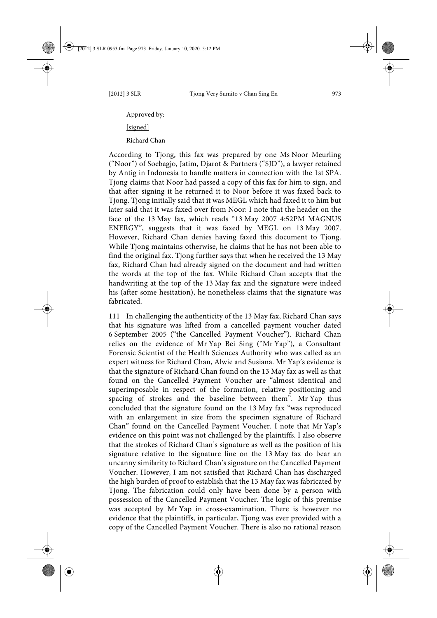Approved by: [signed] Richard Chan

According to Tjong, this fax was prepared by one Ms Noor Meurling ("Noor") of Soebagjo, Jatim, Djarot & Partners ("SJD"), a lawyer retained by Antig in Indonesia to handle matters in connection with the 1st SPA. Tjong claims that Noor had passed a copy of this fax for him to sign, and that after signing it he returned it to Noor before it was faxed back to Tjong. Tjong initially said that it was MEGL which had faxed it to him but later said that it was faxed over from Noor: I note that the header on the face of the 13 May fax, which reads "13 May 2007 4:52PM MAGNUS ENERGY", suggests that it was faxed by MEGL on 13 May 2007. However, Richard Chan denies having faxed this document to Tjong. While Tjong maintains otherwise, he claims that he has not been able to find the original fax. Tjong further says that when he received the 13 May fax, Richard Chan had already signed on the document and had written the words at the top of the fax. While Richard Chan accepts that the handwriting at the top of the 13 May fax and the signature were indeed his (after some hesitation), he nonetheless claims that the signature was fabricated.

111 In challenging the authenticity of the 13 May fax, Richard Chan says that his signature was lifted from a cancelled payment voucher dated 6 September 2005 ("the Cancelled Payment Voucher"). Richard Chan relies on the evidence of Mr Yap Bei Sing ("Mr Yap"), a Consultant Forensic Scientist of the Health Sciences Authority who was called as an expert witness for Richard Chan, Alwie and Susiana. Mr Yap's evidence is that the signature of Richard Chan found on the 13 May fax as well as that found on the Cancelled Payment Voucher are "almost identical and superimposable in respect of the formation, relative positioning and spacing of strokes and the baseline between them". Mr Yap thus concluded that the signature found on the 13 May fax "was reproduced with an enlargement in size from the specimen signature of Richard Chan" found on the Cancelled Payment Voucher. I note that Mr Yap's evidence on this point was not challenged by the plaintiffs. I also observe that the strokes of Richard Chan's signature as well as the position of his signature relative to the signature line on the 13 May fax do bear an uncanny similarity to Richard Chan's signature on the Cancelled Payment Voucher. However, I am not satisfied that Richard Chan has discharged the high burden of proof to establish that the 13 May fax was fabricated by Tjong. The fabrication could only have been done by a person with possession of the Cancelled Payment Voucher. The logic of this premise was accepted by Mr Yap in cross-examination. There is however no evidence that the plaintiffs, in particular, Tjong was ever provided with a copy of the Cancelled Payment Voucher. There is also no rational reason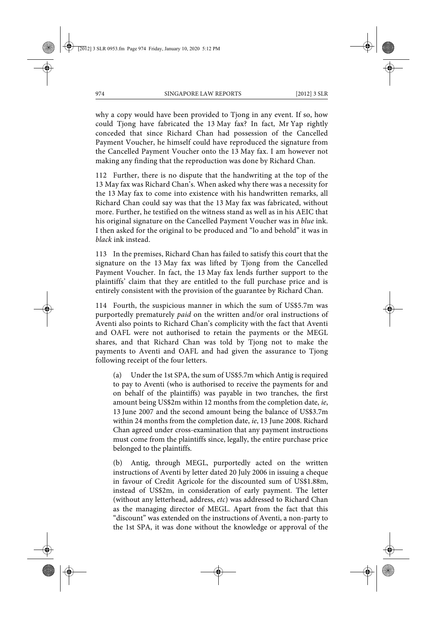why a copy would have been provided to Tjong in any event. If so, how could Tjong have fabricated the 13 May fax? In fact, Mr Yap rightly conceded that since Richard Chan had possession of the Cancelled Payment Voucher, he himself could have reproduced the signature from the Cancelled Payment Voucher onto the 13 May fax. I am however not making any finding that the reproduction was done by Richard Chan.

112 Further, there is no dispute that the handwriting at the top of the 13 May fax was Richard Chan's. When asked why there was a necessity for the 13 May fax to come into existence with his handwritten remarks, all Richard Chan could say was that the 13 May fax was fabricated, without more. Further, he testified on the witness stand as well as in his AEIC that his original signature on the Cancelled Payment Voucher was in *blue* ink. I then asked for the original to be produced and "lo and behold" it was in *black* ink instead.

113 In the premises, Richard Chan has failed to satisfy this court that the signature on the 13 May fax was lifted by Tjong from the Cancelled Payment Voucher. In fact, the 13 May fax lends further support to the plaintiffs' claim that they are entitled to the full purchase price and is entirely consistent with the provision of the guarantee by Richard Chan.

114 Fourth, the suspicious manner in which the sum of US\$5.7m was purportedly prematurely *paid* on the written and/or oral instructions of Aventi also points to Richard Chan's complicity with the fact that Aventi and OAFL were not authorised to retain the payments or the MEGL shares, and that Richard Chan was told by Tjong not to make the payments to Aventi and OAFL and had given the assurance to Tjong following receipt of the four letters.

(a) Under the 1st SPA, the sum of US\$5.7m which Antig is required to pay to Aventi (who is authorised to receive the payments for and on behalf of the plaintiffs) was payable in two tranches, the first amount being US\$2m within 12 months from the completion date, *ie*, 13 June 2007 and the second amount being the balance of US\$3.7m within 24 months from the completion date, *ie*, 13 June 2008. Richard Chan agreed under cross-examination that any payment instructions must come from the plaintiffs since, legally, the entire purchase price belonged to the plaintiffs.

(b) Antig, through MEGL, purportedly acted on the written instructions of Aventi by letter dated 20 July 2006 in issuing a cheque in favour of Credit Agricole for the discounted sum of US\$1.88m, instead of US\$2m, in consideration of early payment. The letter (without any letterhead, address, *etc*) was addressed to Richard Chan as the managing director of MEGL. Apart from the fact that this "discount" was extended on the instructions of Aventi, a non-party to the 1st SPA, it was done without the knowledge or approval of the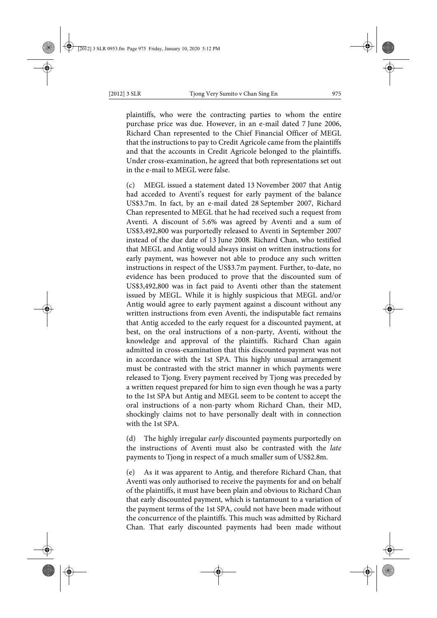plaintiffs, who were the contracting parties to whom the entire purchase price was due. However, in an e-mail dated 7 June 2006, Richard Chan represented to the Chief Financial Officer of MEGL that the instructions to pay to Credit Agricole came from the plaintiffs and that the accounts in Credit Agricole belonged to the plaintiffs. Under cross-examination, he agreed that both representations set out in the e-mail to MEGL were false.

(c) MEGL issued a statement dated 13 November 2007 that Antig had acceded to Aventi's request for early payment of the balance US\$3.7m. In fact, by an e-mail dated 28 September 2007, Richard Chan represented to MEGL that he had received such a request from Aventi. A discount of 5.6% was agreed by Aventi and a sum of US\$3,492,800 was purportedly released to Aventi in September 2007 instead of the due date of 13 June 2008. Richard Chan, who testified that MEGL and Antig would always insist on written instructions for early payment, was however not able to produce any such written instructions in respect of the US\$3.7m payment. Further, to-date, no evidence has been produced to prove that the discounted sum of US\$3,492,800 was in fact paid to Aventi other than the statement issued by MEGL. While it is highly suspicious that MEGL and/or Antig would agree to early payment against a discount without any written instructions from even Aventi, the indisputable fact remains that Antig acceded to the early request for a discounted payment, at best, on the oral instructions of a non-party, Aventi, without the knowledge and approval of the plaintiffs. Richard Chan again admitted in cross-examination that this discounted payment was not in accordance with the 1st SPA. This highly unusual arrangement must be contrasted with the strict manner in which payments were released to Tjong. Every payment received by Tjong was preceded by a written request prepared for him to sign even though he was a party to the 1st SPA but Antig and MEGL seem to be content to accept the oral instructions of a non-party whom Richard Chan, their MD, shockingly claims not to have personally dealt with in connection with the 1st SPA.

(d) The highly irregular *early* discounted payments purportedly on the instructions of Aventi must also be contrasted with the *late* payments to Tjong in respect of a much smaller sum of US\$2.8m.

(e) As it was apparent to Antig, and therefore Richard Chan, that Aventi was only authorised to receive the payments for and on behalf of the plaintiffs, it must have been plain and obvious to Richard Chan that early discounted payment, which is tantamount to a variation of the payment terms of the 1st SPA, could not have been made without the concurrence of the plaintiffs. This much was admitted by Richard Chan. That early discounted payments had been made without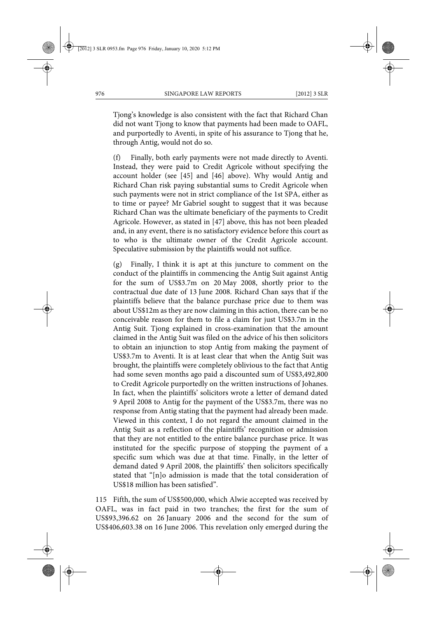Tjong's knowledge is also consistent with the fact that Richard Chan did not want Tjong to know that payments had been made to OAFL, and purportedly to Aventi, in spite of his assurance to Tjong that he, through Antig, would not do so.

(f) Finally, both early payments were not made directly to Aventi. Instead, they were paid to Credit Agricole without specifying the account holder (see [45] and [46] above). Why would Antig and Richard Chan risk paying substantial sums to Credit Agricole when such payments were not in strict compliance of the 1st SPA, either as to time or payee? Mr Gabriel sought to suggest that it was because Richard Chan was the ultimate beneficiary of the payments to Credit Agricole. However, as stated in [47] above, this has not been pleaded and, in any event, there is no satisfactory evidence before this court as to who is the ultimate owner of the Credit Agricole account. Speculative submission by the plaintiffs would not suffice.

(g) Finally, I think it is apt at this juncture to comment on the conduct of the plaintiffs in commencing the Antig Suit against Antig for the sum of US\$3.7m on 20 May 2008, shortly prior to the contractual due date of 13 June 2008. Richard Chan says that if the plaintiffs believe that the balance purchase price due to them was about US\$12m as they are now claiming in this action, there can be no conceivable reason for them to file a claim for just US\$3.7m in the Antig Suit. Tjong explained in cross-examination that the amount claimed in the Antig Suit was filed on the advice of his then solicitors to obtain an injunction to stop Antig from making the payment of US\$3.7m to Aventi. It is at least clear that when the Antig Suit was brought, the plaintiffs were completely oblivious to the fact that Antig had some seven months ago paid a discounted sum of US\$3,492,800 to Credit Agricole purportedly on the written instructions of Johanes. In fact, when the plaintiffs' solicitors wrote a letter of demand dated 9 April 2008 to Antig for the payment of the US\$3.7m, there was no response from Antig stating that the payment had already been made. Viewed in this context, I do not regard the amount claimed in the Antig Suit as a reflection of the plaintiffs' recognition or admission that they are not entitled to the entire balance purchase price. It was instituted for the specific purpose of stopping the payment of a specific sum which was due at that time. Finally, in the letter of demand dated 9 April 2008, the plaintiffs' then solicitors specifically stated that "[n]o admission is made that the total consideration of US\$18 million has been satisfied".

115 Fifth, the sum of US\$500,000, which Alwie accepted was received by OAFL, was in fact paid in two tranches; the first for the sum of US\$93,396.62 on 26 January 2006 and the second for the sum of US\$406,603.38 on 16 June 2006. This revelation only emerged during the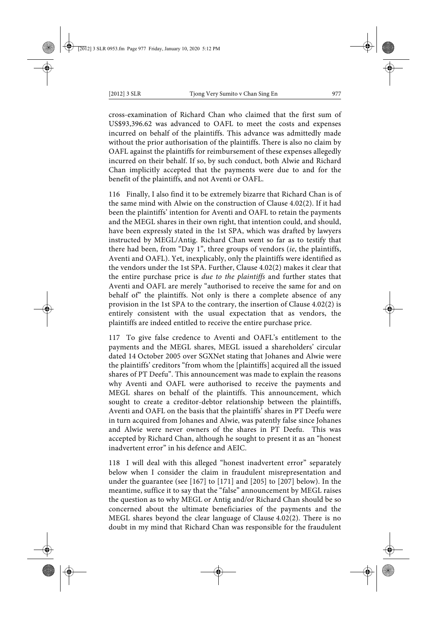cross-examination of Richard Chan who claimed that the first sum of US\$93,396.62 was advanced to OAFL to meet the costs and expenses incurred on behalf of the plaintiffs. This advance was admittedly made without the prior authorisation of the plaintiffs. There is also no claim by OAFL against the plaintiffs for reimbursement of these expenses allegedly incurred on their behalf. If so, by such conduct, both Alwie and Richard Chan implicitly accepted that the payments were due to and for the benefit of the plaintiffs, and not Aventi or OAFL.

116 Finally, I also find it to be extremely bizarre that Richard Chan is of the same mind with Alwie on the construction of Clause 4.02(2). If it had been the plaintiffs' intention for Aventi and OAFL to retain the payments and the MEGL shares in their own right, that intention could, and should, have been expressly stated in the 1st SPA, which was drafted by lawyers instructed by MEGL/Antig. Richard Chan went so far as to testify that there had been, from "Day 1", three groups of vendors (*ie*, the plaintiffs, Aventi and OAFL). Yet, inexplicably, only the plaintiffs were identified as the vendors under the 1st SPA. Further, Clause 4.02(2) makes it clear that the entire purchase price is *due to the plaintiffs* and further states that Aventi and OAFL are merely "authorised to receive the same for and on behalf of" the plaintiffs. Not only is there a complete absence of any provision in the 1st SPA to the contrary, the insertion of Clause 4.02(2) is entirely consistent with the usual expectation that as vendors, the plaintiffs are indeed entitled to receive the entire purchase price.

117 To give false credence to Aventi and OAFL's entitlement to the payments and the MEGL shares, MEGL issued a shareholders' circular dated 14 October 2005 over SGXNet stating that Johanes and Alwie were the plaintiffs' creditors "from whom the [plaintiffs] acquired all the issued shares of PT Deefu". This announcement was made to explain the reasons why Aventi and OAFL were authorised to receive the payments and MEGL shares on behalf of the plaintiffs. This announcement, which sought to create a creditor-debtor relationship between the plaintiffs, Aventi and OAFL on the basis that the plaintiffs' shares in PT Deefu were in turn acquired from Johanes and Alwie, was patently false since Johanes and Alwie were never owners of the shares in PT Deefu. This was accepted by Richard Chan, although he sought to present it as an "honest inadvertent error" in his defence and AEIC.

118 I will deal with this alleged "honest inadvertent error" separately below when I consider the claim in fraudulent misrepresentation and under the guarantee (see [167] to [171] and [205] to [207] below). In the meantime, suffice it to say that the "false" announcement by MEGL raises the question as to why MEGL or Antig and/or Richard Chan should be so concerned about the ultimate beneficiaries of the payments and the MEGL shares beyond the clear language of Clause 4.02(2). There is no doubt in my mind that Richard Chan was responsible for the fraudulent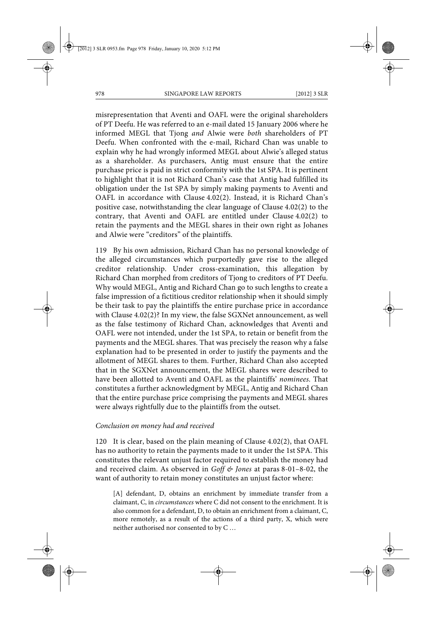misrepresentation that Aventi and OAFL were the original shareholders of PT Deefu. He was referred to an e-mail dated 15 January 2006 where he informed MEGL that Tjong *and* Alwie were *both* shareholders of PT Deefu. When confronted with the e-mail, Richard Chan was unable to explain why he had wrongly informed MEGL about Alwie's alleged status as a shareholder. As purchasers, Antig must ensure that the entire purchase price is paid in strict conformity with the 1st SPA. It is pertinent to highlight that it is not Richard Chan's case that Antig had fulfilled its obligation under the 1st SPA by simply making payments to Aventi and OAFL in accordance with Clause 4.02(2). Instead, it is Richard Chan's positive case, notwithstanding the clear language of Clause 4.02(2) to the contrary, that Aventi and OAFL are entitled under Clause 4.02(2) to retain the payments and the MEGL shares in their own right as Johanes and Alwie were "creditors" of the plaintiffs.

119 By his own admission, Richard Chan has no personal knowledge of the alleged circumstances which purportedly gave rise to the alleged creditor relationship. Under cross-examination, this allegation by Richard Chan morphed from creditors of Tjong to creditors of PT Deefu. Why would MEGL, Antig and Richard Chan go to such lengths to create a false impression of a fictitious creditor relationship when it should simply be their task to pay the plaintiffs the entire purchase price in accordance with Clause 4.02(2)? In my view, the false SGXNet announcement, as well as the false testimony of Richard Chan, acknowledges that Aventi and OAFL were not intended, under the 1st SPA, to retain or benefit from the payments and the MEGL shares. That was precisely the reason why a false explanation had to be presented in order to justify the payments and the allotment of MEGL shares to them. Further, Richard Chan also accepted that in the SGXNet announcement, the MEGL shares were described to have been allotted to Aventi and OAFL as the plaintiffs' *nominees*. That constitutes a further acknowledgment by MEGL, Antig and Richard Chan that the entire purchase price comprising the payments and MEGL shares were always rightfully due to the plaintiffs from the outset.

#### *Conclusion on money had and received*

120 It is clear, based on the plain meaning of Clause 4.02(2), that OAFL has no authority to retain the payments made to it under the 1st SPA. This constitutes the relevant unjust factor required to establish the money had and received claim. As observed in *Goff & Jones* at paras 8-01–8-02, the want of authority to retain money constitutes an unjust factor where:

[A] defendant, D, obtains an enrichment by immediate transfer from a claimant, C, in *circumstances* where C did not consent to the enrichment. It is also common for a defendant, D, to obtain an enrichment from a claimant, C, more remotely, as a result of the actions of a third party, X, which were neither authorised nor consented to by C …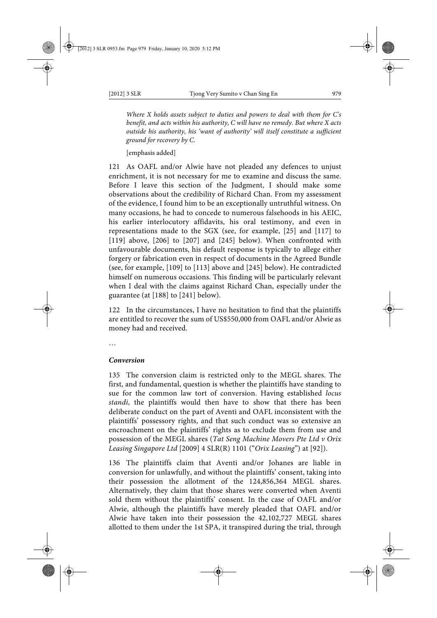*Where X holds assets subject to duties and powers to deal with them for C's benefit, and acts within his authority, C will have no remedy. But where X acts outside his authority, his 'want of authority' will itself constitute a sufficient ground for recovery by C.*

[emphasis added]

121 As OAFL and/or Alwie have not pleaded any defences to unjust enrichment, it is not necessary for me to examine and discuss the same. Before I leave this section of the Judgment, I should make some observations about the credibility of Richard Chan. From my assessment of the evidence, I found him to be an exceptionally untruthful witness. On many occasions, he had to concede to numerous falsehoods in his AEIC, his earlier interlocutory affidavits, his oral testimony, and even in representations made to the SGX (see, for example, [25] and [117] to [119] above, [206] to [207] and [245] below). When confronted with unfavourable documents, his default response is typically to allege either forgery or fabrication even in respect of documents in the Agreed Bundle (see, for example, [109] to [113] above and [245] below). He contradicted himself on numerous occasions. This finding will be particularly relevant when I deal with the claims against Richard Chan, especially under the guarantee (at [188] to [241] below).

122 In the circumstances, I have no hesitation to find that the plaintiffs are entitled to recover the sum of US\$550,000 from OAFL and/or Alwie as money had and received.

…

### *Conversion*

135 The conversion claim is restricted only to the MEGL shares. The first, and fundamental, question is whether the plaintiffs have standing to sue for the common law tort of conversion. Having established *locus standi*, the plaintiffs would then have to show that there has been deliberate conduct on the part of Aventi and OAFL inconsistent with the plaintiffs' possessory rights, and that such conduct was so extensive an encroachment on the plaintiffs' rights as to exclude them from use and possession of the MEGL shares (*Tat Seng Machine Movers Pte Ltd v Orix Leasing Singapore Ltd* [2009] 4 SLR(R) 1101 ("*Orix Leasing*") at [92]).

136 The plaintiffs claim that Aventi and/or Johanes are liable in conversion for unlawfully, and without the plaintiffs' consent, taking into their possession the allotment of the 124,856,364 MEGL shares. Alternatively, they claim that those shares were converted when Aventi sold them without the plaintiffs' consent. In the case of OAFL and/or Alwie, although the plaintiffs have merely pleaded that OAFL and/or Alwie have taken into their possession the 42,102,727 MEGL shares allotted to them under the 1st SPA, it transpired during the trial, through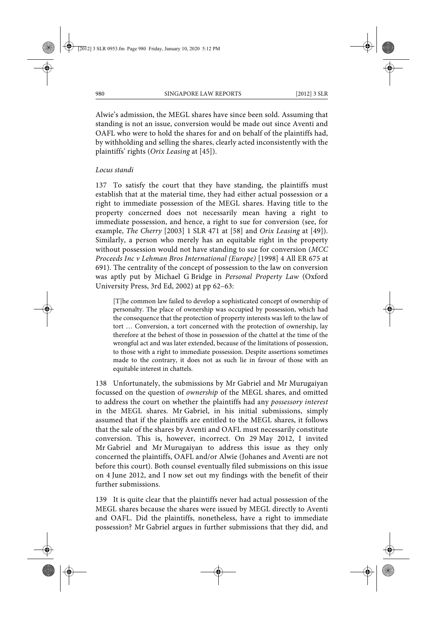Alwie's admission, the MEGL shares have since been sold. Assuming that standing is not an issue, conversion would be made out since Aventi and OAFL who were to hold the shares for and on behalf of the plaintiffs had, by withholding and selling the shares, clearly acted inconsistently with the plaintiffs' rights (*Orix Leasing* at [45]).

### *Locus standi*

137 To satisfy the court that they have standing, the plaintiffs must establish that at the material time, they had either actual possession or a right to immediate possession of the MEGL shares. Having title to the property concerned does not necessarily mean having a right to immediate possession, and hence, a right to sue for conversion (see, for example, *The Cherry* [2003] 1 SLR 471 at [58] and *Orix Leasing* at [49]). Similarly, a person who merely has an equitable right in the property without possession would not have standing to sue for conversion (*MCC Proceeds Inc v Lehman Bros International (Europe)* [1998] 4 All ER 675 at 691). The centrality of the concept of possession to the law on conversion was aptly put by Michael G Bridge in *Personal Property Law* (Oxford University Press, 3rd Ed, 2002) at pp 62–63:

[T]he common law failed to develop a sophisticated concept of ownership of personalty. The place of ownership was occupied by possession, which had the consequence that the protection of property interests was left to the law of tort … Conversion, a tort concerned with the protection of ownership, lay therefore at the behest of those in possession of the chattel at the time of the wrongful act and was later extended, because of the limitations of possession, to those with a right to immediate possession. Despite assertions sometimes made to the contrary, it does not as such lie in favour of those with an equitable interest in chattels.

138 Unfortunately, the submissions by Mr Gabriel and Mr Murugaiyan focussed on the question of *ownership* of the MEGL shares, and omitted to address the court on whether the plaintiffs had any *possessory interest* in the MEGL shares. Mr Gabriel, in his initial submissions, simply assumed that if the plaintiffs are entitled to the MEGL shares, it follows that the sale of the shares by Aventi and OAFL must necessarily constitute conversion. This is, however, incorrect. On 29 May 2012, I invited Mr Gabriel and Mr Murugaiyan to address this issue as they only concerned the plaintiffs, OAFL and/or Alwie (Johanes and Aventi are not before this court). Both counsel eventually filed submissions on this issue on 4 June 2012, and I now set out my findings with the benefit of their further submissions.

139 It is quite clear that the plaintiffs never had actual possession of the MEGL shares because the shares were issued by MEGL directly to Aventi and OAFL. Did the plaintiffs, nonetheless, have a right to immediate possession? Mr Gabriel argues in further submissions that they did, and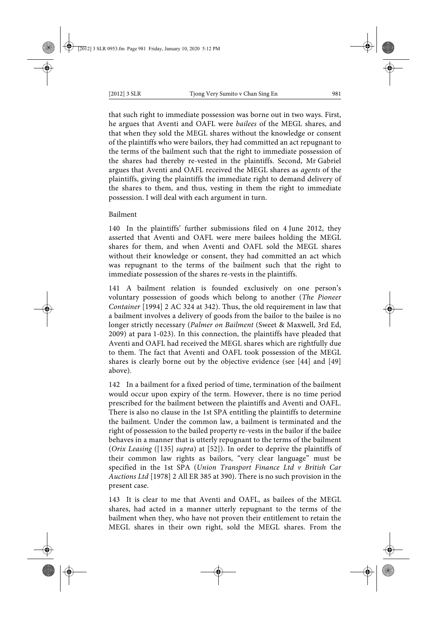that such right to immediate possession was borne out in two ways. First, he argues that Aventi and OAFL were *bailees* of the MEGL shares, and that when they sold the MEGL shares without the knowledge or consent of the plaintiffs who were bailors, they had committed an act repugnant to the terms of the bailment such that the right to immediate possession of the shares had thereby re-vested in the plaintiffs. Second, Mr Gabriel argues that Aventi and OAFL received the MEGL shares as *agents* of the plaintiffs, giving the plaintiffs the immediate right to demand delivery of the shares to them, and thus, vesting in them the right to immediate possession. I will deal with each argument in turn.

## Bailment

140 In the plaintiffs' further submissions filed on 4 June 2012, they asserted that Aventi and OAFL were mere bailees holding the MEGL shares for them, and when Aventi and OAFL sold the MEGL shares without their knowledge or consent, they had committed an act which was repugnant to the terms of the bailment such that the right to immediate possession of the shares re-vests in the plaintiffs.

141 A bailment relation is founded exclusively on one person's voluntary possession of goods which belong to another (*The Pioneer Container* [1994] 2 AC 324 at 342). Thus, the old requirement in law that a bailment involves a delivery of goods from the bailor to the bailee is no longer strictly necessary (*Palmer on Bailment* (Sweet & Maxwell, 3rd Ed, 2009) at para 1-023). In this connection, the plaintiffs have pleaded that Aventi and OAFL had received the MEGL shares which are rightfully due to them. The fact that Aventi and OAFL took possession of the MEGL shares is clearly borne out by the objective evidence (see [44] and [49] above).

142 In a bailment for a fixed period of time, termination of the bailment would occur upon expiry of the term. However, there is no time period prescribed for the bailment between the plaintiffs and Aventi and OAFL. There is also no clause in the 1st SPA entitling the plaintiffs to determine the bailment. Under the common law, a bailment is terminated and the right of possession to the bailed property re-vests in the bailor if the bailee behaves in a manner that is utterly repugnant to the terms of the bailment (*Orix Leasing* ([135] *supra*) at [52]). In order to deprive the plaintiffs of their common law rights as bailors, "very clear language" must be specified in the 1st SPA (*Union Transport Finance Ltd v British Car Auctions Ltd* [1978] 2 All ER 385 at 390). There is no such provision in the present case.

143 It is clear to me that Aventi and OAFL, as bailees of the MEGL shares, had acted in a manner utterly repugnant to the terms of the bailment when they, who have not proven their entitlement to retain the MEGL shares in their own right, sold the MEGL shares. From the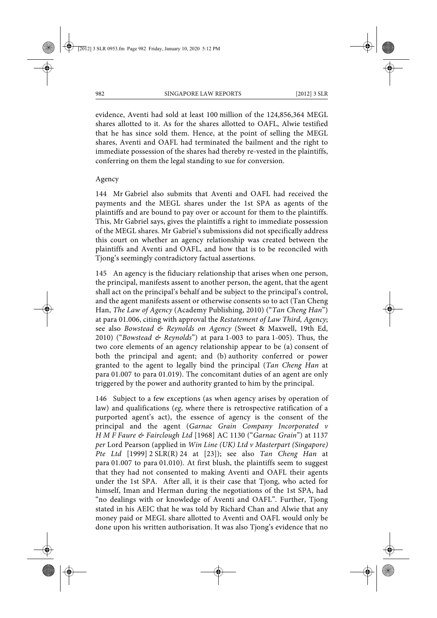evidence, Aventi had sold at least 100 million of the 124,856,364 MEGL shares allotted to it. As for the shares allotted to OAFL, Alwie testified that he has since sold them. Hence, at the point of selling the MEGL shares, Aventi and OAFL had terminated the bailment and the right to immediate possession of the shares had thereby re-vested in the plaintiffs, conferring on them the legal standing to sue for conversion.

### Agency

144 Mr Gabriel also submits that Aventi and OAFL had received the payments and the MEGL shares under the 1st SPA as agents of the plaintiffs and are bound to pay over or account for them to the plaintiffs. This, Mr Gabriel says, gives the plaintiffs a right to immediate possession of the MEGL shares. Mr Gabriel's submissions did not specifically address this court on whether an agency relationship was created between the plaintiffs and Aventi and OAFL, and how that is to be reconciled with Tjong's seemingly contradictory factual assertions.

145 An agency is the fiduciary relationship that arises when one person, the principal, manifests assent to another person, the agent, that the agent shall act on the principal's behalf and be subject to the principal's control, and the agent manifests assent or otherwise consents so to act (Tan Cheng Han, *The Law of Agency* (Academy Publishing, 2010) ("*Tan Cheng Han*") at para 01.006, citing with approval the *Restatement of Law Third, Agency*; see also *Bowstead & Reynolds on Agency* (Sweet & Maxwell, 19th Ed, 2010) ("*Bowstead & Reynolds*") at para 1-003 to para 1-005). Thus, the two core elements of an agency relationship appear to be (a) consent of both the principal and agent; and (b) authority conferred or power granted to the agent to legally bind the principal (*Tan Cheng Han* at para 01.007 to para 01.019). The concomitant duties of an agent are only triggered by the power and authority granted to him by the principal.

146 Subject to a few exceptions (as when agency arises by operation of law) and qualifications (*eg*, where there is retrospective ratification of a purported agent's act), the essence of agency is the consent of the principal and the agent (*Garnac Grain Company Incorporated v H M F Faure & Fairclough Ltd* [1968] AC 1130 ("*Garnac Grain*") at 1137 *per* Lord Pearson (applied in *Win Line (UK) Ltd v Masterpart (Singapore) Pte Ltd* [1999] 2 SLR(R) 24 at [23]); see also *Tan Cheng Han* at para 01.007 to para 01.010). At first blush, the plaintiffs seem to suggest that they had not consented to making Aventi and OAFL their agents under the 1st SPA. After all, it is their case that Tjong, who acted for himself, Iman and Herman during the negotiations of the 1st SPA, had "no dealings with or knowledge of Aventi and OAFL". Further, Tjong stated in his AEIC that he was told by Richard Chan and Alwie that any money paid or MEGL share allotted to Aventi and OAFL would only be done upon his written authorisation. It was also Tjong's evidence that no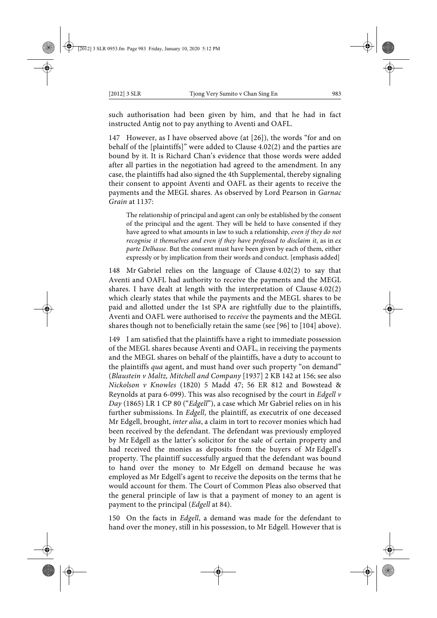such authorisation had been given by him, and that he had in fact instructed Antig not to pay anything to Aventi and OAFL.

147 However, as I have observed above (at [26]), the words "for and on behalf of the [plaintiffs]" were added to Clause 4.02(2) and the parties are bound by it. It is Richard Chan's evidence that those words were added after all parties in the negotiation had agreed to the amendment. In any case, the plaintiffs had also signed the 4th Supplemental, thereby signaling their consent to appoint Aventi and OAFL as their agents to receive the payments and the MEGL shares. As observed by Lord Pearson in *Garnac Grain* at 1137:

The relationship of principal and agent can only be established by the consent of the principal and the agent. They will be held to have consented if they have agreed to what amounts in law to such a relationship, *even if they do not recognise it themselves and even if they have professed to disclaim it*, as in *ex parte Delhasse*. But the consent must have been given by each of them, either expressly or by implication from their words and conduct. [emphasis added]

148 Mr Gabriel relies on the language of Clause 4.02(2) to say that Aventi and OAFL had authority to receive the payments and the MEGL shares. I have dealt at length with the interpretation of Clause 4.02(2) which clearly states that while the payments and the MEGL shares to be paid and allotted under the 1st SPA are rightfully due to the plaintiffs, Aventi and OAFL were authorised to *receive* the payments and the MEGL shares though not to beneficially retain the same (see [96] to [104] above).

149 I am satisfied that the plaintiffs have a right to immediate possession of the MEGL shares because Aventi and OAFL, in receiving the payments and the MEGL shares on behalf of the plaintiffs, have a duty to account to the plaintiffs *qua* agent, and must hand over such property "on demand" (*Blaustein v Maltz, Mitchell and Company* [1937] 2 KB 142 at 156; see also *Nickolson v Knowles* (1820) 5 Madd 47; 56 ER 812 and Bowstead & Reynolds at para 6-099). This was also recognised by the court in *Edgell v Day* (1865) LR 1 CP 80 ("*Edgell*"), a case which Mr Gabriel relies on in his further submissions. In *Edgell*, the plaintiff, as executrix of one deceased Mr Edgell, brought, *inter alia*, a claim in tort to recover monies which had been received by the defendant. The defendant was previously employed by Mr Edgell as the latter's solicitor for the sale of certain property and had received the monies as deposits from the buyers of Mr Edgell's property. The plaintiff successfully argued that the defendant was bound to hand over the money to Mr Edgell on demand because he was employed as Mr Edgell's agent to receive the deposits on the terms that he would account for them. The Court of Common Pleas also observed that the general principle of law is that a payment of money to an agent is payment to the principal (*Edgell* at 84).

150 On the facts in *Edgell*, a demand was made for the defendant to hand over the money, still in his possession, to Mr Edgell. However that is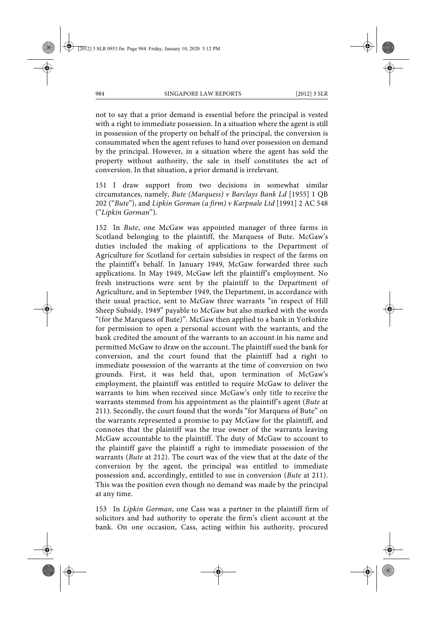not to say that a prior demand is essential before the principal is vested with a right to immediate possession. In a situation where the agent is still in possession of the property on behalf of the principal, the conversion is consummated when the agent refuses to hand over possession on demand by the principal. However, in a situation where the agent has sold the property without authority, the sale in itself constitutes the act of conversion. In that situation, a prior demand is irrelevant.

151 I draw support from two decisions in somewhat similar circumstances, namely, *Bute (Marquess) v Barclays Bank Ld* [1955] 1 QB 202 ("*Bute*"), and *Lipkin Gorman (a firm) v Karpnale Ltd* [1991] 2 AC 548 ("*Lipkin Gorman*").

152 In *Bute*, one McGaw was appointed manager of three farms in Scotland belonging to the plaintiff, the Marquess of Bute. McGaw's duties included the making of applications to the Department of Agriculture for Scotland for certain subsidies in respect of the farms on the plaintiff's behalf. In January 1949, McGaw forwarded three such applications. In May 1949, McGaw left the plaintiff's employment. No fresh instructions were sent by the plaintiff to the Department of Agriculture, and in September 1949, the Department, in accordance with their usual practice, sent to McGaw three warrants "in respect of Hill Sheep Subsidy, 1949" payable to McGaw but also marked with the words "(for the Marquess of Bute)". McGaw then applied to a bank in Yorkshire for permission to open a personal account with the warrants, and the bank credited the amount of the warrants to an account in his name and permitted McGaw to draw on the account. The plaintiff sued the bank for conversion, and the court found that the plaintiff had a right to immediate possession of the warrants at the time of conversion on two grounds. First, it was held that, upon termination of McGaw's employment, the plaintiff was entitled to require McGaw to deliver the warrants to him when received since McGaw's only title to receive the warrants stemmed from his appointment as the plaintiff's agent (*Bute* at 211). Secondly, the court found that the words "for Marquess of Bute" on the warrants represented a promise to pay McGaw for the plaintiff, and connotes that the plaintiff was the true owner of the warrants leaving McGaw accountable to the plaintiff. The duty of McGaw to account to the plaintiff gave the plaintiff a right to immediate possession of the warrants (*Bute* at 212). The court was of the view that at the date of the conversion by the agent, the principal was entitled to immediate possession and, accordingly, entitled to sue in conversion (*Bute* at 211). This was the position even though no demand was made by the principal at any time.

153 In *Lipkin Gorman*, one Cass was a partner in the plaintiff firm of solicitors and had authority to operate the firm's client account at the bank. On one occasion, Cass, acting within his authority, procured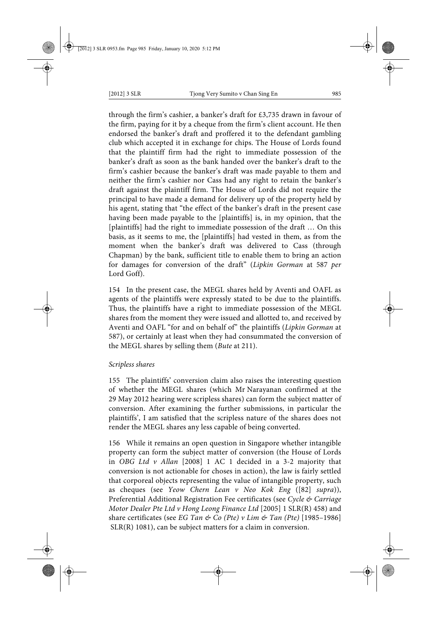through the firm's cashier, a banker's draft for £3,735 drawn in favour of the firm, paying for it by a cheque from the firm's client account. He then endorsed the banker's draft and proffered it to the defendant gambling club which accepted it in exchange for chips. The House of Lords found that the plaintiff firm had the right to immediate possession of the banker's draft as soon as the bank handed over the banker's draft to the firm's cashier because the banker's draft was made payable to them and neither the firm's cashier nor Cass had any right to retain the banker's draft against the plaintiff firm. The House of Lords did not require the principal to have made a demand for delivery up of the property held by his agent, stating that "the effect of the banker's draft in the present case having been made payable to the [plaintiffs] is, in my opinion, that the [plaintiffs] had the right to immediate possession of the draft ... On this basis, as it seems to me, the [plaintiffs] had vested in them, as from the moment when the banker's draft was delivered to Cass (through Chapman) by the bank, sufficient title to enable them to bring an action for damages for conversion of the draft" (*Lipkin Gorman* at 587 *per* Lord Goff).

154 In the present case, the MEGL shares held by Aventi and OAFL as agents of the plaintiffs were expressly stated to be due to the plaintiffs. Thus, the plaintiffs have a right to immediate possession of the MEGL shares from the moment they were issued and allotted to, and received by Aventi and OAFL "for and on behalf of" the plaintiffs (*Lipkin Gorman* at 587), or certainly at least when they had consummated the conversion of the MEGL shares by selling them (*Bute* at 211).

## *Scripless shares*

155 The plaintiffs' conversion claim also raises the interesting question of whether the MEGL shares (which Mr Narayanan confirmed at the 29 May 2012 hearing were scripless shares) can form the subject matter of conversion. After examining the further submissions, in particular the plaintiffs', I am satisfied that the scripless nature of the shares does not render the MEGL shares any less capable of being converted.

156 While it remains an open question in Singapore whether intangible property can form the subject matter of conversion (the House of Lords in *OBG Ltd v Allan* [2008] 1 AC 1 decided in a 3-2 majority that conversion is not actionable for choses in action), the law is fairly settled that corporeal objects representing the value of intangible property, such as cheques (see *Yeow Chern Lean v Neo Kok Eng* ([82] *supra*)), Preferential Additional Registration Fee certificates (see *Cycle & Carriage Motor Dealer Pte Ltd v Hong Leong Finance Ltd* [2005] 1 SLR(R) 458) and share certificates (see *EG Tan & Co (Pte) v Lim & Tan (Pte)* [1985–1986] SLR(R) 1081), can be subject matters for a claim in conversion.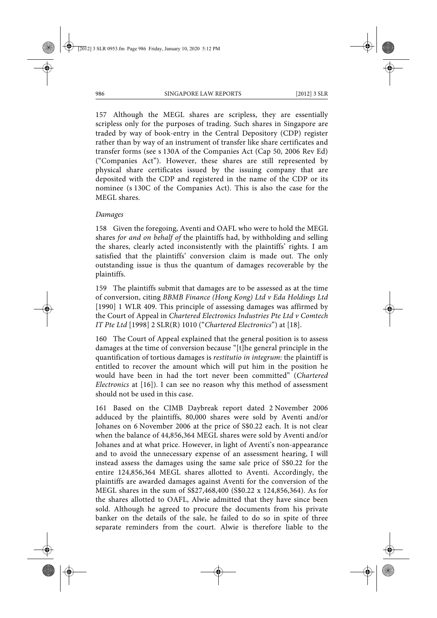157 Although the MEGL shares are scripless, they are essentially scripless only for the purposes of trading. Such shares in Singapore are traded by way of book-entry in the Central Depository (CDP) register rather than by way of an instrument of transfer like share certificates and transfer forms (see s 130A of the Companies Act (Cap 50, 2006 Rev Ed) ("Companies Act"). However, these shares are still represented by physical share certificates issued by the issuing company that are deposited with the CDP and registered in the name of the CDP or its nominee (s 130C of the Companies Act). This is also the case for the MEGL shares.

### *Damages*

158 Given the foregoing, Aventi and OAFL who were to hold the MEGL shares *for and on behalf of* the plaintiffs had, by withholding and selling the shares, clearly acted inconsistently with the plaintiffs' rights. I am satisfied that the plaintiffs' conversion claim is made out. The only outstanding issue is thus the quantum of damages recoverable by the plaintiffs.

159 The plaintiffs submit that damages are to be assessed as at the time of conversion, citing *BBMB Finance (Hong Kong) Ltd v Eda Holdings Ltd* [1990] 1 WLR 409. This principle of assessing damages was affirmed by the Court of Appeal in *Chartered Electronics Industries Pte Ltd v Comtech IT Pte Ltd* [1998] 2 SLR(R) 1010 ("*Chartered Electronics*") at [18].

160 The Court of Appeal explained that the general position is to assess damages at the time of conversion because "[t]he general principle in the quantification of tortious damages is *restitutio in integrum*: the plaintiff is entitled to recover the amount which will put him in the position he would have been in had the tort never been committed" (*Chartered Electronics* at [16]). I can see no reason why this method of assessment should not be used in this case.

161 Based on the CIMB Daybreak report dated 2 November 2006 adduced by the plaintiffs, 80,000 shares were sold by Aventi and/or Johanes on 6 November 2006 at the price of S\$0.22 each. It is not clear when the balance of 44,856,364 MEGL shares were sold by Aventi and/or Johanes and at what price. However, in light of Aventi's non-appearance and to avoid the unnecessary expense of an assessment hearing, I will instead assess the damages using the same sale price of S\$0.22 for the entire 124,856,364 MEGL shares allotted to Aventi. Accordingly, the plaintiffs are awarded damages against Aventi for the conversion of the MEGL shares in the sum of S\$27,468,400 (S\$0.22 x 124,856,364). As for the shares allotted to OAFL, Alwie admitted that they have since been sold. Although he agreed to procure the documents from his private banker on the details of the sale, he failed to do so in spite of three separate reminders from the court. Alwie is therefore liable to the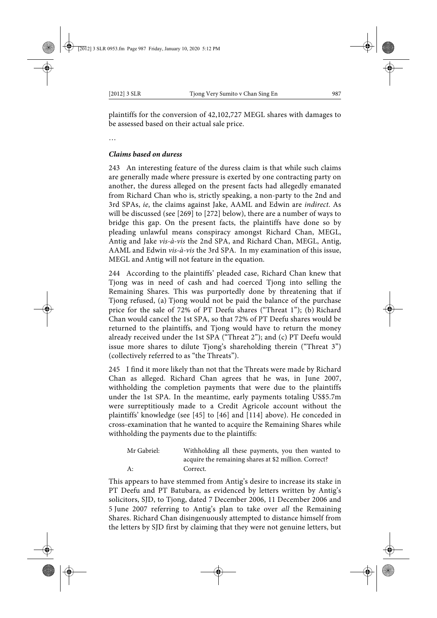plaintiffs for the conversion of 42,102,727 MEGL shares with damages to be assessed based on their actual sale price.

…

## *Claims based on duress*

243 An interesting feature of the duress claim is that while such claims are generally made where pressure is exerted by one contracting party on another, the duress alleged on the present facts had allegedly emanated from Richard Chan who is, strictly speaking, a non-party to the 2nd and 3rd SPAs, *ie*, the claims against Jake, AAML and Edwin are *indirect*. As will be discussed (see [269] to [272] below), there are a number of ways to bridge this gap. On the present facts, the plaintiffs have done so by pleading unlawful means conspiracy amongst Richard Chan, MEGL, Antig and Jake *vis-à-vis* the 2nd SPA, and Richard Chan, MEGL, Antig, AAML and Edwin *vis-à-vis* the 3rd SPA. In my examination of this issue, MEGL and Antig will not feature in the equation.

244 According to the plaintiffs' pleaded case, Richard Chan knew that Tjong was in need of cash and had coerced Tjong into selling the Remaining Shares. This was purportedly done by threatening that if Tjong refused, (a) Tjong would not be paid the balance of the purchase price for the sale of 72% of PT Deefu shares ("Threat 1"); (b) Richard Chan would cancel the 1st SPA, so that 72% of PT Deefu shares would be returned to the plaintiffs, and Tjong would have to return the money already received under the 1st SPA ("Threat 2"); and (c) PT Deefu would issue more shares to dilute Tjong's shareholding therein ("Threat 3") (collectively referred to as "the Threats").

245 I find it more likely than not that the Threats were made by Richard Chan as alleged. Richard Chan agrees that he was, in June 2007, withholding the completion payments that were due to the plaintiffs under the 1st SPA. In the meantime, early payments totaling US\$5.7m were surreptitiously made to a Credit Agricole account without the plaintiffs' knowledge (see [45] to [46] and [114] above). He conceded in cross-examination that he wanted to acquire the Remaining Shares while withholding the payments due to the plaintiffs:

| Mr Gabriel: | Withholding all these payments, you then wanted to    |
|-------------|-------------------------------------------------------|
|             | acquire the remaining shares at \$2 million. Correct? |
| A:          | Correct.                                              |

This appears to have stemmed from Antig's desire to increase its stake in PT Deefu and PT Batubara, as evidenced by letters written by Antig's solicitors, SJD, to Tjong, dated 7 December 2006, 11 December 2006 and 5 June 2007 referring to Antig's plan to take over *all* the Remaining Shares. Richard Chan disingenuously attempted to distance himself from the letters by SJD first by claiming that they were not genuine letters, but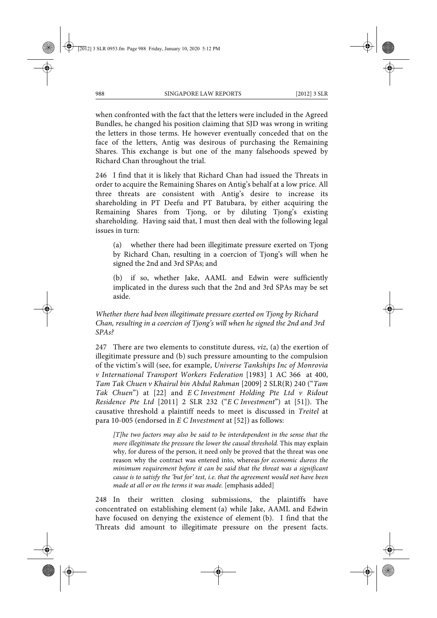when confronted with the fact that the letters were included in the Agreed Bundles, he changed his position claiming that SJD was wrong in writing the letters in those terms. He however eventually conceded that on the face of the letters, Antig was desirous of purchasing the Remaining Shares. This exchange is but one of the many falsehoods spewed by Richard Chan throughout the trial.

246 I find that it is likely that Richard Chan had issued the Threats in order to acquire the Remaining Shares on Antig's behalf at a low price. All three threats are consistent with Antig's desire to increase its shareholding in PT Deefu and PT Batubara, by either acquiring the Remaining Shares from Tjong, or by diluting Tjong's existing shareholding. Having said that, I must then deal with the following legal issues in turn:

(a) whether there had been illegitimate pressure exerted on Tjong by Richard Chan, resulting in a coercion of Tjong's will when he signed the 2nd and 3rd SPAs; and

(b) if so, whether Jake, AAML and Edwin were sufficiently implicated in the duress such that the 2nd and 3rd SPAs may be set aside.

## *Whether there had been illegitimate pressure exerted on Tjong by Richard Chan, resulting in a coercion of Tjong's will when he signed the 2nd and 3rd SPAs?*

247 There are two elements to constitute duress, *viz*, (a) the exertion of illegitimate pressure and (b) such pressure amounting to the compulsion of the victim's will (see, for example, *Universe Tankships Inc of Monrovia v International Transport Workers Federation* [1983] 1 AC 366 at 400, *Tam Tak Chuen v Khairul bin Abdul Rahman* [2009] 2 SLR(R) 240 ("*Tam Tak Chuen*") at [22] and *E C Investment Holding Pte Ltd v Ridout Residence Pte Ltd* [2011] 2 SLR 232 ("*E C Investment*") at [51]). The causative threshold a plaintiff needs to meet is discussed in *Treitel* at para 10-005 (endorsed in *E C Investment* at [52]) as follows:

*[T]he two factors may also be said to be interdependent in the sense that the more illegitimate the pressure the lower the causal threshold.* This may explain why, for duress of the person, it need only be proved that the threat was one reason why the contract was entered into, whereas *for economic duress the minimum requirement before it can be said that the threat was a significant cause is to satisfy the 'but for' test, i.e. that the agreement would not have been made at all or on the terms it was made.* [emphasis added]

248 In their written closing submissions, the plaintiffs have concentrated on establishing element (a) while Jake, AAML and Edwin have focused on denying the existence of element (b). I find that the Threats did amount to illegitimate pressure on the present facts.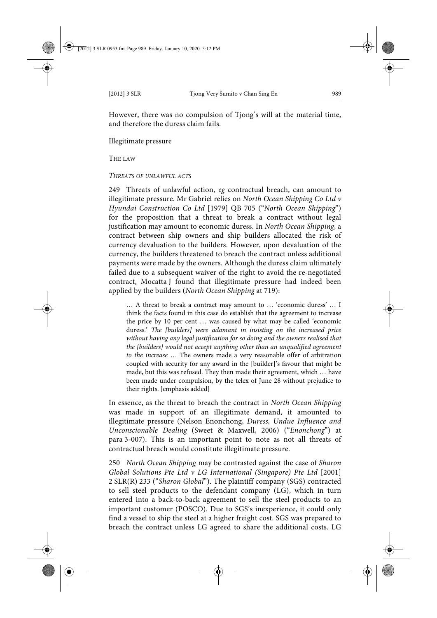However, there was no compulsion of Tjong's will at the material time, and therefore the duress claim fails.

Illegitimate pressure

THE LAW

#### *THREATS OF UNLAWFUL ACTS*

249 Threats of unlawful action, *eg* contractual breach, can amount to illegitimate pressure. Mr Gabriel relies on *North Ocean Shipping Co Ltd v Hyundai Construction Co Ltd* [1979] QB 705 ("*North Ocean Shipping*") for the proposition that a threat to break a contract without legal justification may amount to economic duress. In *North Ocean Shipping*, a contract between ship owners and ship builders allocated the risk of currency devaluation to the builders. However, upon devaluation of the currency, the builders threatened to breach the contract unless additional payments were made by the owners. Although the duress claim ultimately failed due to a subsequent waiver of the right to avoid the re-negotiated contract, Mocatta J found that illegitimate pressure had indeed been applied by the builders (*North Ocean Shipping* at 719):

… A threat to break a contract may amount to … 'economic duress' … I think the facts found in this case do establish that the agreement to increase the price by 10 per cent … was caused by what may be called 'economic duress.' *The [builders] were adamant in insisting on the increased price without having any legal justification for so doing and the owners realised that the [builders] would not accept anything other than an unqualified agreement to the increase* … The owners made a very reasonable offer of arbitration coupled with security for any award in the [builder]'s favour that might be made, but this was refused. They then made their agreement, which … have been made under compulsion, by the telex of June 28 without prejudice to their rights. [emphasis added]

In essence, as the threat to breach the contract in *North Ocean Shipping* was made in support of an illegitimate demand, it amounted to illegitimate pressure (Nelson Enonchong, *Duress, Undue Influence and Unconscionable Dealing* (Sweet & Maxwell, 2006) ("*Enonchong*") at para 3-007). This is an important point to note as not all threats of contractual breach would constitute illegitimate pressure.

250 *North Ocean Shipping* may be contrasted against the case of *Sharon Global Solutions Pte Ltd v LG International (Singapore) Pte Ltd* [2001] 2 SLR(R) 233 ("*Sharon Global*"). The plaintiff company (SGS) contracted to sell steel products to the defendant company (LG), which in turn entered into a back-to-back agreement to sell the steel products to an important customer (POSCO). Due to SGS's inexperience, it could only find a vessel to ship the steel at a higher freight cost. SGS was prepared to breach the contract unless LG agreed to share the additional costs. LG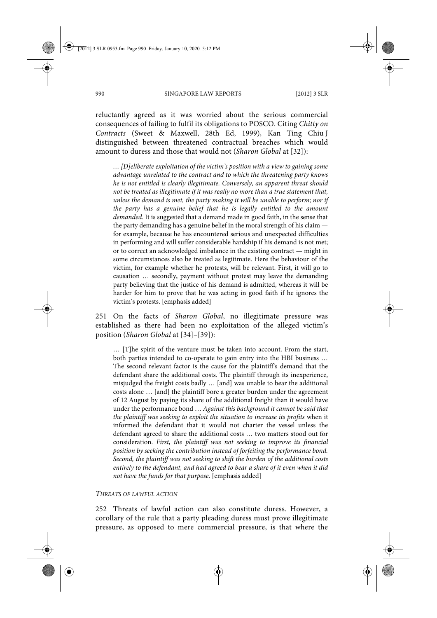reluctantly agreed as it was worried about the serious commercial consequences of failing to fulfil its obligations to POSCO. Citing *Chitty on Contracts* (Sweet & Maxwell, 28th Ed, 1999), Kan Ting Chiu J distinguished between threatened contractual breaches which would amount to duress and those that would not (*Sharon Global* at [32]):

*… [D]eliberate exploitation of the victim's position with a view to gaining some advantage unrelated to the contract and to which the threatening party knows he is not entitled is clearly illegitimate. Conversely, an apparent threat should not be treated as illegitimate if it was really no more than a true statement that, unless the demand is met, the party making it will be unable to perform; nor if the party has a genuine belief that he is legally entitled to the amount demanded.* It is suggested that a demand made in good faith, in the sense that the party demanding has a genuine belief in the moral strength of his claim for example, because he has encountered serious and unexpected difficulties in performing and will suffer considerable hardship if his demand is not met; or to correct an acknowledged imbalance in the existing contract — might in some circumstances also be treated as legitimate. Here the behaviour of the victim, for example whether he protests, will be relevant. First, it will go to causation … secondly, payment without protest may leave the demanding party believing that the justice of his demand is admitted, whereas it will be harder for him to prove that he was acting in good faith if he ignores the victim's protests. [emphasis added]

251 On the facts of *Sharon Global*, no illegitimate pressure was established as there had been no exploitation of the alleged victim's position (*Sharon Global* at [34]–[39]):

… [T]he spirit of the venture must be taken into account. From the start, both parties intended to co-operate to gain entry into the HBI business … The second relevant factor is the cause for the plaintiff's demand that the defendant share the additional costs. The plaintiff through its inexperience, misjudged the freight costs badly … [and] was unable to bear the additional costs alone … [and] the plaintiff bore a greater burden under the agreement of 12 August by paying its share of the additional freight than it would have under the performance bond … *Against this background it cannot be said that the plaintiff was seeking to exploit the situation to increase its profits* when it informed the defendant that it would not charter the vessel unless the defendant agreed to share the additional costs … two matters stood out for consideration. *First, the plaintiff was not seeking to improve its financial position by seeking the contribution instead of forfeiting the performance bond. Second, the plaintiff was not seeking to shift the burden of the additional costs entirely to the defendant, and had agreed to bear a share of it even when it did not have the funds for that purpose*. [emphasis added]

#### *THREATS OF LAWFUL ACTION*

252 Threats of lawful action can also constitute duress. However, a corollary of the rule that a party pleading duress must prove illegitimate pressure, as opposed to mere commercial pressure, is that where the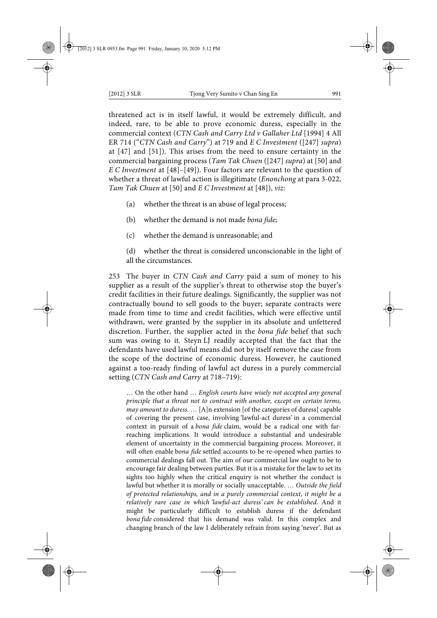threatened act is in itself lawful, it would be extremely difficult, and indeed, rare, to be able to prove economic duress, especially in the commercial context (*CTN Cash and Carry Ltd v Gallaher Ltd* [1994] 4 All ER 714 ("*CTN Cash and Carry*") at 719 and *E C Investment* ([247] *supra*) at [47] and [51]). This arises from the need to ensure certainty in the commercial bargaining process (*Tam Tak Chuen* ([247] *supra*) at [50] and *E C Investment* at [48]–[49]). Four factors are relevant to the question of whether a threat of lawful action is illegitimate (*Enonchong* at para 3-022, *Tam Tak Chuen* at [50] and *E C Investment* at [48]), *viz*:

- (a) whether the threat is an abuse of legal process;
- (b) whether the demand is not made *bona fide*;
- (c) whether the demand is unreasonable; and

(d) whether the threat is considered unconscionable in the light of all the circumstances.

253 The buyer in *CTN Cash and Carry* paid a sum of money to his supplier as a result of the supplier's threat to otherwise stop the buyer's credit facilities in their future dealings. Significantly, the supplier was not contractually bound to sell goods to the buyer; separate contracts were made from time to time and credit facilities, which were effective until withdrawn, were granted by the supplier in its absolute and unfettered discretion. Further, the supplier acted in the *bona fide* belief that such sum was owing to it. Steyn LJ readily accepted that the fact that the defendants have used lawful means did not by itself remove the case from the scope of the doctrine of economic duress. However, he cautioned against a too-ready finding of lawful act duress in a purely commercial setting (*CTN Cash and Carry* at 718–719):

… On the other hand … *English courts have wisely not accepted any general principle that a threat not to contract with another, except on certain terms, may amount to duress.* … [A]n extension [of the categories of duress] capable of covering the present case, involving 'lawful-act duress' in a commercial context in pursuit of a *bona fide* claim, would be a radical one with farreaching implications. It would introduce a substantial and undesirable element of uncertainty in the commercial bargaining process. Moreover, it will often enable b*ona fide* settled accounts to be re-opened when parties to commercial dealings fall out. The aim of our commercial law ought to be to encourage fair dealing between parties. But it is a mistake for the law to set its sights too highly when the critical enquiry is not whether the conduct is lawful but whether it is morally or socially unacceptable. … *Outside the field of protected relationships, and in a purely commercial context, it might be a relatively rare case in which 'lawful-act duress' can be established.* And it might be particularly difficult to establish duress if the defendant *bona fide* considered that his demand was valid. In this complex and changing branch of the law I deliberately refrain from saying 'never'. But as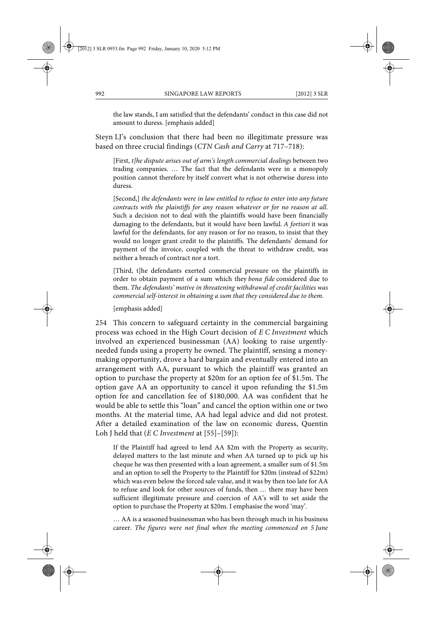the law stands, I am satisfied that the defendants' conduct in this case did not amount to duress. [emphasis added]

Steyn LJ's conclusion that there had been no illegitimate pressure was based on three crucial findings (*CTN Cash and Carry* at 717–718):

[First, *t]he dispute arises out of arm's length commercial dealings* between two trading companies. … The fact that the defendants were in a monopoly position cannot therefore by itself convert what is not otherwise duress into duress.

[Second,] *the defendants were in law entitled to refuse to enter into any future contracts with the plaintiffs for any reason whatever or for no reason at all.* Such a decision not to deal with the plaintiffs would have been financially damaging to the defendants, but it would have been lawful. *A fortiori* it was lawful for the defendants, for any reason or for no reason, to insist that they would no longer grant credit to the plaintiffs. The defendants' demand for payment of the invoice, coupled with the threat to withdraw credit, was neither a breach of contract nor a tort.

[Third, t]he defendants exerted commercial pressure on the plaintiffs in order to obtain payment of a sum which they *bona fide* considered due to them. *The defendants' motive in threatening withdrawal of credit facilities was commercial self-interest in obtaining a sum that they considered due to them*.

[emphasis added]

254 This concern to safeguard certainty in the commercial bargaining process was echoed in the High Court decision of *E C Investment* which involved an experienced businessman (AA) looking to raise urgentlyneeded funds using a property he owned. The plaintiff, sensing a moneymaking opportunity, drove a hard bargain and eventually entered into an arrangement with AA, pursuant to which the plaintiff was granted an option to purchase the property at \$20m for an option fee of \$1.5m. The option gave AA an opportunity to cancel it upon refunding the \$1.5m option fee and cancellation fee of \$180,000. AA was confident that he would be able to settle this "loan" and cancel the option within one or two months. At the material time, AA had legal advice and did not protest. After a detailed examination of the law on economic duress, Quentin Loh J held that (*E C Investment* at [55]–[59]):

If the Plaintiff had agreed to lend AA \$2m with the Property as security, delayed matters to the last minute and when AA turned up to pick up his cheque he was then presented with a loan agreement, a smaller sum of \$1.5m and an option to sell the Property to the Plaintiff for \$20m (instead of \$22m) which was even below the forced sale value, and it was by then too late for AA to refuse and look for other sources of funds, then … there may have been sufficient illegitimate pressure and coercion of AA's will to set aside the option to purchase the Property at \$20m. I emphasise the word 'may'.

… AA is a seasoned businessman who has been through much in his business career. *The figures were not final when the meeting commenced on 5 June*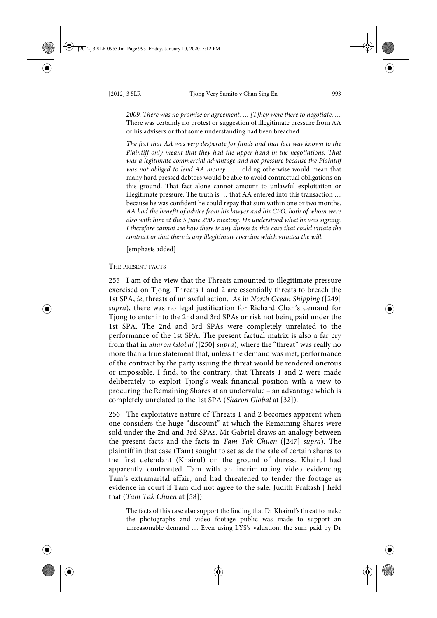*2009. There was no promise or agreement. … [T]hey were there to negotiate. …* There was certainly no protest or suggestion of illegitimate pressure from AA or his advisers or that some understanding had been breached.

*The fact that AA was very desperate for funds and that fact was known to the Plaintiff only meant that they had the upper hand in the negotiations. That was a legitimate commercial advantage and not pressure because the Plaintiff was not obliged to lend AA money* … Holding otherwise would mean that many hard pressed debtors would be able to avoid contractual obligations on this ground. That fact alone cannot amount to unlawful exploitation or illegitimate pressure. The truth is … that AA entered into this transaction … because he was confident he could repay that sum within one or two months. *AA had the benefit of advice from his lawyer and his CFO, both of whom were also with him at the 5 June 2009 meeting. He understood what he was signing. I therefore cannot see how there is any duress in this case that could vitiate the contract or that there is any illegitimate coercion which vitiated the will.*

[emphasis added]

THE PRESENT FACTS

255 I am of the view that the Threats amounted to illegitimate pressure exercised on Tjong. Threats 1 and 2 are essentially threats to breach the 1st SPA, *ie*, threats of unlawful action. As in *North Ocean Shipping* ([249] *supra*), there was no legal justification for Richard Chan's demand for Tjong to enter into the 2nd and 3rd SPAs or risk not being paid under the 1st SPA. The 2nd and 3rd SPAs were completely unrelated to the performance of the 1st SPA. The present factual matrix is also a far cry from that in *Sharon Global* ([250] *supra*), where the "threat" was really no more than a true statement that, unless the demand was met, performance of the contract by the party issuing the threat would be rendered onerous or impossible. I find, to the contrary, that Threats 1 and 2 were made deliberately to exploit Tjong's weak financial position with a view to procuring the Remaining Shares at an undervalue – an advantage which is completely unrelated to the 1st SPA (*Sharon Global* at [32]).

256 The exploitative nature of Threats 1 and 2 becomes apparent when one considers the huge "discount" at which the Remaining Shares were sold under the 2nd and 3rd SPAs. Mr Gabriel draws an analogy between the present facts and the facts in *Tam Tak Chuen* ([247] *supra*). The plaintiff in that case (Tam) sought to set aside the sale of certain shares to the first defendant (Khairul) on the ground of duress. Khairul had apparently confronted Tam with an incriminating video evidencing Tam's extramarital affair, and had threatened to tender the footage as evidence in court if Tam did not agree to the sale. Judith Prakash J held that (*Tam Tak Chuen* at [58]):

The facts of this case also support the finding that Dr Khairul's threat to make the photographs and video footage public was made to support an unreasonable demand … Even using LYS's valuation, the sum paid by Dr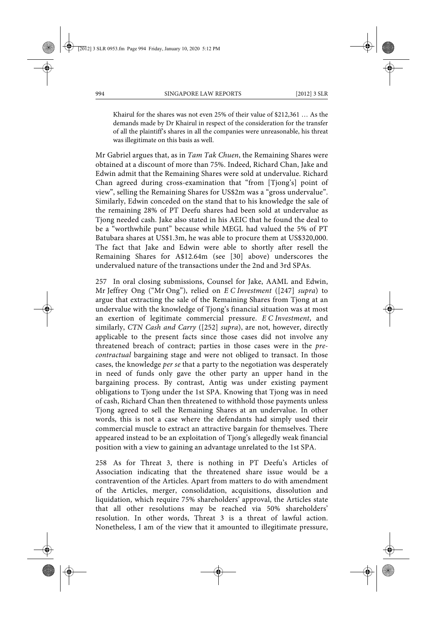Khairul for the shares was not even 25% of their value of \$212,361 … As the demands made by Dr Khairul in respect of the consideration for the transfer of all the plaintiff's shares in all the companies were unreasonable, his threat was illegitimate on this basis as well.

Mr Gabriel argues that, as in *Tam Tak Chuen*, the Remaining Shares were obtained at a discount of more than 75%. Indeed, Richard Chan, Jake and Edwin admit that the Remaining Shares were sold at undervalue. Richard Chan agreed during cross-examination that "from [Tjong's] point of view", selling the Remaining Shares for US\$2m was a "gross undervalue". Similarly, Edwin conceded on the stand that to his knowledge the sale of the remaining 28% of PT Deefu shares had been sold at undervalue as Tjong needed cash. Jake also stated in his AEIC that he found the deal to be a "worthwhile punt" because while MEGL had valued the 5% of PT Batubara shares at US\$1.3m, he was able to procure them at US\$320,000. The fact that Jake and Edwin were able to shortly after resell the Remaining Shares for A\$12.64m (see [30] above) underscores the undervalued nature of the transactions under the 2nd and 3rd SPAs.

257 In oral closing submissions, Counsel for Jake, AAML and Edwin, Mr Jeffrey Ong ("Mr Ong"), relied on *E C Investment* ([247] *supra*) to argue that extracting the sale of the Remaining Shares from Tjong at an undervalue with the knowledge of Tjong's financial situation was at most an exertion of legitimate commercial pressure. *E C Investment*, and similarly, *CTN Cash and Carry* ([252] *supra*), are not, however, directly applicable to the present facts since those cases did not involve any threatened breach of contract; parties in those cases were in the *precontractual* bargaining stage and were not obliged to transact. In those cases, the knowledge *per se* that a party to the negotiation was desperately in need of funds only gave the other party an upper hand in the bargaining process. By contrast, Antig was under existing payment obligations to Tjong under the 1st SPA. Knowing that Tjong was in need of cash, Richard Chan then threatened to withhold those payments unless Tjong agreed to sell the Remaining Shares at an undervalue. In other words, this is not a case where the defendants had simply used their commercial muscle to extract an attractive bargain for themselves. There appeared instead to be an exploitation of Tjong's allegedly weak financial position with a view to gaining an advantage unrelated to the 1st SPA.

258 As for Threat 3, there is nothing in PT Deefu's Articles of Association indicating that the threatened share issue would be a contravention of the Articles. Apart from matters to do with amendment of the Articles, merger, consolidation, acquisitions, dissolution and liquidation, which require 75% shareholders' approval, the Articles state that all other resolutions may be reached via 50% shareholders' resolution. In other words, Threat 3 is a threat of lawful action. Nonetheless, I am of the view that it amounted to illegitimate pressure,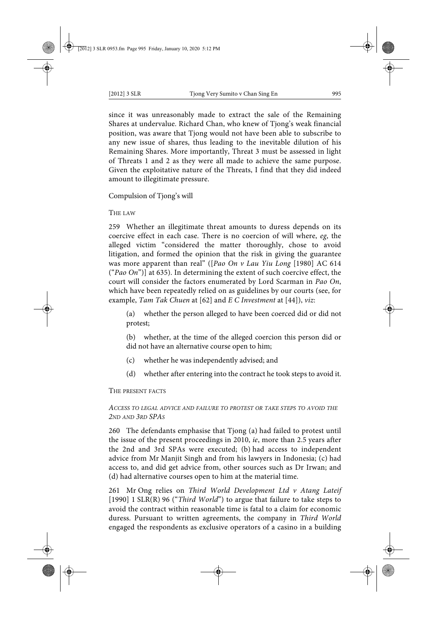since it was unreasonably made to extract the sale of the Remaining Shares at undervalue. Richard Chan, who knew of Tjong's weak financial position, was aware that Tjong would not have been able to subscribe to any new issue of shares, thus leading to the inevitable dilution of his Remaining Shares. More importantly, Threat 3 must be assessed in light of Threats 1 and 2 as they were all made to achieve the same purpose. Given the exploitative nature of the Threats, I find that they did indeed amount to illegitimate pressure.

Compulsion of Tjong's will

THE LAW

259 Whether an illegitimate threat amounts to duress depends on its coercive effect in each case. There is no coercion of will where, *eg*, the alleged victim "considered the matter thoroughly, chose to avoid litigation, and formed the opinion that the risk in giving the guarantee was more apparent than real" ([*Pao On v Lau Yiu Long* [1980] AC 614 ("*Pao On*")] at 635). In determining the extent of such coercive effect, the court will consider the factors enumerated by Lord Scarman in *Pao On*, which have been repeatedly relied on as guidelines by our courts (see, for example, *Tam Tak Chuen* at [62] and *E C Investment* at [44]), *viz*:

(a) whether the person alleged to have been coerced did or did not protest;

(b) whether, at the time of the alleged coercion this person did or did not have an alternative course open to him;

- (c) whether he was independently advised; and
- (d) whether after entering into the contract he took steps to avoid it.

THE PRESENT FACTS

## *ACCESS TO LEGAL ADVICE AND FAILURE TO PROTEST OR TAKE STEPS TO AVOID THE 2ND AND 3RD SPAS*

260 The defendants emphasise that Tjong (a) had failed to protest until the issue of the present proceedings in 2010, *ie*, more than 2.5 years after the 2nd and 3rd SPAs were executed; (b) had access to independent advice from Mr Manjit Singh and from his lawyers in Indonesia; (c) had access to, and did get advice from, other sources such as Dr Irwan; and (d) had alternative courses open to him at the material time.

261 Mr Ong relies on *Third World Development Ltd v Atang Lateif* [1990] 1 SLR(R) 96 ("*Third World*") to argue that failure to take steps to avoid the contract within reasonable time is fatal to a claim for economic duress. Pursuant to written agreements, the company in *Third World* engaged the respondents as exclusive operators of a casino in a building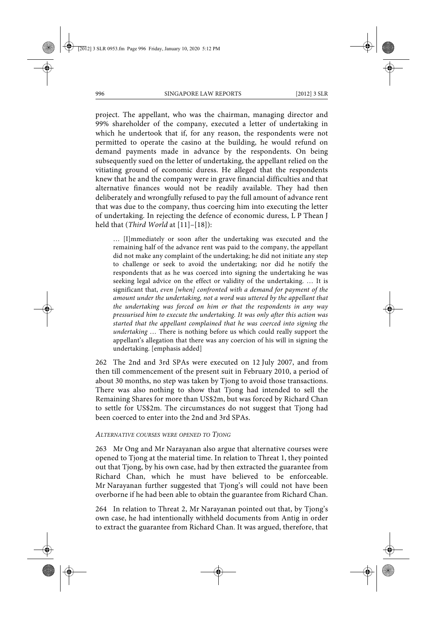project. The appellant, who was the chairman, managing director and 99% shareholder of the company, executed a letter of undertaking in which he undertook that if, for any reason, the respondents were not permitted to operate the casino at the building, he would refund on demand payments made in advance by the respondents. On being subsequently sued on the letter of undertaking, the appellant relied on the vitiating ground of economic duress. He alleged that the respondents knew that he and the company were in grave financial difficulties and that alternative finances would not be readily available. They had then deliberately and wrongfully refused to pay the full amount of advance rent that was due to the company, thus coercing him into executing the letter of undertaking. In rejecting the defence of economic duress, L P Thean J held that (*Third World* at [11]–[18]):

… [I]mmediately or soon after the undertaking was executed and the remaining half of the advance rent was paid to the company, the appellant did not make any complaint of the undertaking; he did not initiate any step to challenge or seek to avoid the undertaking; nor did he notify the respondents that as he was coerced into signing the undertaking he was seeking legal advice on the effect or validity of the undertaking. … It is significant that, *even [when] confronted with a demand for payment of the amount under the undertaking, not a word was uttered by the appellant that the undertaking was forced on him or that the respondents in any way pressurised him to execute the undertaking. It was only after this action was started that the appellant complained that he was coerced into signing the undertaking* … There is nothing before us which could really support the appellant's allegation that there was any coercion of his will in signing the undertaking. [emphasis added]

262 The 2nd and 3rd SPAs were executed on 12 July 2007, and from then till commencement of the present suit in February 2010, a period of about 30 months, no step was taken by Tjong to avoid those transactions. There was also nothing to show that Tjong had intended to sell the Remaining Shares for more than US\$2m, but was forced by Richard Chan to settle for US\$2m. The circumstances do not suggest that Tjong had been coerced to enter into the 2nd and 3rd SPAs.

#### *ALTERNATIVE COURSES WERE OPENED TO TJONG*

263 Mr Ong and Mr Narayanan also argue that alternative courses were opened to Tjong at the material time. In relation to Threat 1, they pointed out that Tjong, by his own case, had by then extracted the guarantee from Richard Chan, which he must have believed to be enforceable. Mr Narayanan further suggested that Tjong's will could not have been overborne if he had been able to obtain the guarantee from Richard Chan.

264 In relation to Threat 2, Mr Narayanan pointed out that, by Tjong's own case, he had intentionally withheld documents from Antig in order to extract the guarantee from Richard Chan. It was argued, therefore, that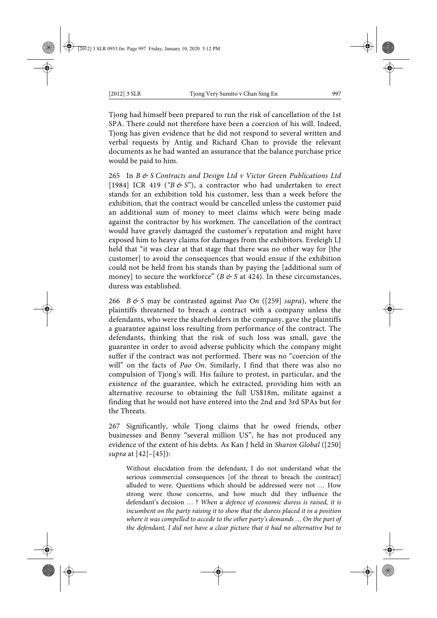Tjong had himself been prepared to run the risk of cancellation of the 1st SPA. There could not therefore have been a coercion of his will. Indeed, Tjong has given evidence that he did not respond to several written and verbal requests by Antig and Richard Chan to provide the relevant documents as he had wanted an assurance that the balance purchase price would be paid to him.

265 In *B & S Contracts and Design Ltd v Victor Green Publications Ltd* [1984] ICR 419 ("B & S"), a contractor who had undertaken to erect stands for an exhibition told his customer, less than a week before the exhibition, that the contract would be cancelled unless the customer paid an additional sum of money to meet claims which were being made against the contractor by his workmen. The cancellation of the contract would have gravely damaged the customer's reputation and might have exposed him to heavy claims for damages from the exhibitors. Eveleigh LJ held that "it was clear at that stage that there was no other way for [the customer] to avoid the consequences that would ensue if the exhibition could not be held from his stands than by paying the [additional sum of money] to secure the workforce" ( $B \notin S$  at 424). In these circumstances, duress was established.

266 *B&S* may be contrasted against *Pao On* ([259] *supra*), where the plaintiffs threatened to breach a contract with a company unless the defendants, who were the shareholders in the company, gave the plaintiffs a guarantee against loss resulting from performance of the contract. The defendants, thinking that the risk of such loss was small, gave the guarantee in order to avoid adverse publicity which the company might suffer if the contract was not performed. There was no "coercion of the will" on the facts of *Pao On*. Similarly, I find that there was also no compulsion of Tjong's will. His failure to protest, in particular, and the existence of the guarantee, which he extracted, providing him with an alternative recourse to obtaining the full US\$18m, militate against a finding that he would not have entered into the 2nd and 3rd SPAs but for the Threats.

267 Significantly, while Tjong claims that he owed friends, other businesses and Benny "several million US", he has not produced any evidence of the extent of his debts. As Kan J held in *Sharon Global* ([250] *supra* at [42]–[45]):

Without elucidation from the defendant, I do not understand what the serious commercial consequences [of the threat to breach the contract] alluded to were. Questions which should be addressed were not … How strong were those concerns, and how much did they influence the defendant's decision … ? *When a defence of economic duress is raised, it is incumbent on the party raising it to show that the duress placed it in a position where it was compelled to accede to the other party's demands … On the part of the defendant, I did not have a clear picture that it had no alternative but to*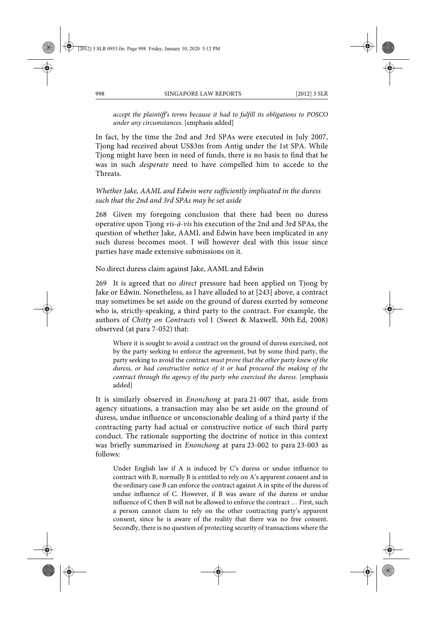*accept the plaintiff's terms because it had to fulfill its obligations to POSCO under any circumstances*. [emphasis added]

In fact, by the time the 2nd and 3rd SPAs were executed in July 2007, Tjong had received about US\$3m from Antig under the 1st SPA. While Tjong might have been in need of funds, there is no basis to find that he was in such *desperate* need to have compelled him to accede to the Threats.

*Whether Jake, AAML and Edwin were sufficiently implicated in the duress such that the 2nd and 3rd SPAs may be set aside*

268 Given my foregoing conclusion that there had been no duress operative upon Tjong *vis-à-vis* his execution of the 2nd and 3rd SPAs, the question of whether Jake, AAML and Edwin have been implicated in any such duress becomes moot. I will however deal with this issue since parties have made extensive submissions on it.

No direct duress claim against Jake, AAML and Edwin

269 It is agreed that no *direct* pressure had been applied on Tjong by Jake or Edwin. Nonetheless, as I have alluded to at [243] above, a contract may sometimes be set aside on the ground of duress exerted by someone who is, strictly-speaking, a third party to the contract. For example, the authors of *Chitty on Contracts* vol 1 (Sweet & Maxwell, 30th Ed, 2008) observed (at para 7-052) that:

Where it is sought to avoid a contract on the ground of duress exercised, not by the party seeking to enforce the agreement, but by some third party, the party seeking to avoid the contract *must prove that the other party knew of the duress, or had constructive notice of it or had procured the making of the contract through the agency of the party who exercised the duress*. [emphasis added]

It is similarly observed in *Enonchong* at para 21-007 that, aside from agency situations, a transaction may also be set aside on the ground of duress, undue influence or unconscionable dealing of a third party if the contracting party had actual or constructive notice of such third party conduct. The rationale supporting the doctrine of notice in this context was briefly summarised in *Enonchong* at para 23-002 to para 23-003 as follows:

Under English law if A is induced by C's duress or undue influence to contract with B, normally B is entitled to rely on A's apparent consent and in the ordinary case B can enforce the contract against A in spite of the duress of undue influence of C. However, if B was aware of the duress or undue influence of C then B will not be allowed to enforce the contract … First, such a person cannot claim to rely on the other contracting party's apparent consent, since he is aware of the reality that there was no free consent. Secondly, there is no question of protecting security of transactions where the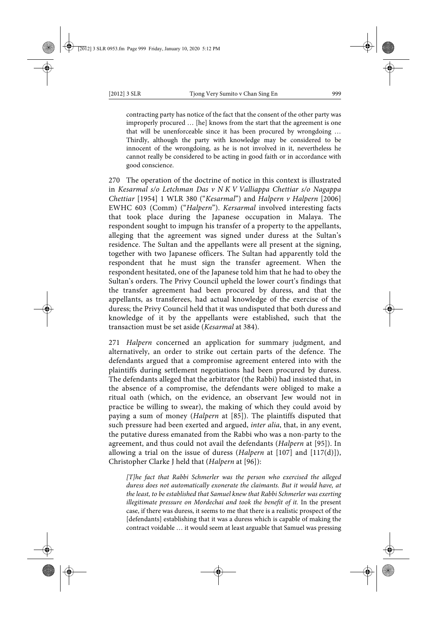contracting party has notice of the fact that the consent of the other party was improperly procured … [he] knows from the start that the agreement is one that will be unenforceable since it has been procured by wrongdoing … Thirdly, although the party with knowledge may be considered to be innocent of the wrongdoing, as he is not involved in it, nevertheless he cannot really be considered to be acting in good faith or in accordance with good conscience.

270 The operation of the doctrine of notice in this context is illustrated in *Kesarmal s/o Letchman Das v N K V Valliappa Chettiar s/o Nagappa Chettiar* [1954] 1 WLR 380 ("*Kesarmal*") and *Halpern v Halpern* [2006] EWHC 603 (Comm) ("*Halpern*"). *Kersarmal* involved interesting facts that took place during the Japanese occupation in Malaya. The respondent sought to impugn his transfer of a property to the appellants, alleging that the agreement was signed under duress at the Sultan's residence. The Sultan and the appellants were all present at the signing, together with two Japanese officers. The Sultan had apparently told the respondent that he must sign the transfer agreement. When the respondent hesitated, one of the Japanese told him that he had to obey the Sultan's orders. The Privy Council upheld the lower court's findings that the transfer agreement had been procured by duress, and that the appellants, as transferees, had actual knowledge of the exercise of the duress; the Privy Council held that it was undisputed that both duress and knowledge of it by the appellants were established, such that the transaction must be set aside (*Kesarmal* at 384).

271 *Halpern* concerned an application for summary judgment, and alternatively, an order to strike out certain parts of the defence. The defendants argued that a compromise agreement entered into with the plaintiffs during settlement negotiations had been procured by duress. The defendants alleged that the arbitrator (the Rabbi) had insisted that, in the absence of a compromise, the defendants were obliged to make a ritual oath (which, on the evidence, an observant Jew would not in practice be willing to swear), the making of which they could avoid by paying a sum of money (*Halpern* at [85]). The plaintiffs disputed that such pressure had been exerted and argued, *inter alia*, that, in any event, the putative duress emanated from the Rabbi who was a non-party to the agreement, and thus could not avail the defendants (*Halpern* at [95]). In allowing a trial on the issue of duress (*Halpern* at [107] and [117(d)]), Christopher Clarke J held that (*Halpern* at [96]):

*[T]he fact that Rabbi Schmerler was the person who exercised the alleged duress does not automatically exonerate the claimants. But it would have, at the least, to be established that Samuel knew that Rabbi Schmerler was exerting illegitimate pressure on Mordechai and took the benefit of it.* In the present case, if there was duress, it seems to me that there is a realistic prospect of the [defendants] establishing that it was a duress which is capable of making the contract voidable … it would seem at least arguable that Samuel was pressing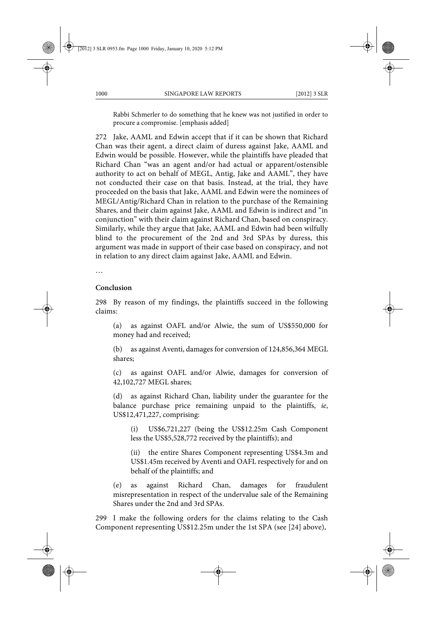Rabbi Schmerler to do something that he knew was not justified in order to procure a compromise. [emphasis added]

272 Jake, AAML and Edwin accept that if it can be shown that Richard Chan was their agent, a direct claim of duress against Jake, AAML and Edwin would be possible. However, while the plaintiffs have pleaded that Richard Chan "was an agent and/or had actual or apparent/ostensible authority to act on behalf of MEGL, Antig, Jake and AAML", they have not conducted their case on that basis. Instead, at the trial, they have proceeded on the basis that Jake, AAML and Edwin were the nominees of MEGL/Antig/Richard Chan in relation to the purchase of the Remaining Shares, and their claim against Jake, AAML and Edwin is indirect and "in conjunction" with their claim against Richard Chan, based on conspiracy. Similarly, while they argue that Jake, AAML and Edwin had been wilfully blind to the procurement of the 2nd and 3rd SPAs by duress, this argument was made in support of their case based on conspiracy, and not in relation to any direct claim against Jake, AAML and Edwin.

…

### **Conclusion**

298 By reason of my findings, the plaintiffs succeed in the following claims:

(a) as against OAFL and/or Alwie, the sum of US\$550,000 for money had and received;

(b) as against Aventi, damages for conversion of 124,856,364 MEGL shares;

(c) as against OAFL and/or Alwie, damages for conversion of 42,102,727 MEGL shares;

(d) as against Richard Chan, liability under the guarantee for the balance purchase price remaining unpaid to the plaintiffs, *ie*, US\$12,471,227, comprising:

(i) US\$6,721,227 (being the US\$12.25m Cash Component less the US\$5,528,772 received by the plaintiffs); and

(ii) the entire Shares Component representing US\$4.3m and US\$1.45m received by Aventi and OAFL respectively for and on behalf of the plaintiffs; and

(e) as against Richard Chan, damages for fraudulent misrepresentation in respect of the undervalue sale of the Remaining Shares under the 2nd and 3rd SPAs.

299 I make the following orders for the claims relating to the Cash Component representing US\$12.25m under the 1st SPA (see [24] above),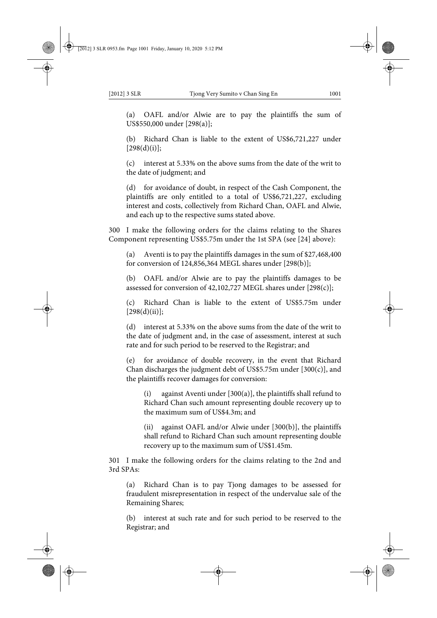(a) OAFL and/or Alwie are to pay the plaintiffs the sum of US\$550,000 under [298(a)];

(b) Richard Chan is liable to the extent of US\$6,721,227 under  $[298(d)(i)];$ 

(c) interest at 5.33% on the above sums from the date of the writ to the date of judgment; and

(d) for avoidance of doubt, in respect of the Cash Component, the plaintiffs are only entitled to a total of US\$6,721,227, excluding interest and costs, collectively from Richard Chan, OAFL and Alwie, and each up to the respective sums stated above.

300 I make the following orders for the claims relating to the Shares Component representing US\$5.75m under the 1st SPA (see [24] above):

(a) Aventi is to pay the plaintiffs damages in the sum of \$27,468,400 for conversion of 124,856,364 MEGL shares under [298(b)];

(b) OAFL and/or Alwie are to pay the plaintiffs damages to be assessed for conversion of 42,102,727 MEGL shares under [298(c)];

(c) Richard Chan is liable to the extent of US\$5.75m under  $[298(d)(ii)];$ 

(d) interest at 5.33% on the above sums from the date of the writ to the date of judgment and, in the case of assessment, interest at such rate and for such period to be reserved to the Registrar; and

(e) for avoidance of double recovery, in the event that Richard Chan discharges the judgment debt of US\$5.75m under  $[300(c)]$ , and the plaintiffs recover damages for conversion:

(i) against Aventi under [300(a)], the plaintiffs shall refund to Richard Chan such amount representing double recovery up to the maximum sum of US\$4.3m; and

(ii) against OAFL and/or Alwie under [300(b)], the plaintiffs shall refund to Richard Chan such amount representing double recovery up to the maximum sum of US\$1.45m.

301 I make the following orders for the claims relating to the 2nd and 3rd SPAs:

(a) Richard Chan is to pay Tjong damages to be assessed for fraudulent misrepresentation in respect of the undervalue sale of the Remaining Shares;

(b) interest at such rate and for such period to be reserved to the Registrar; and